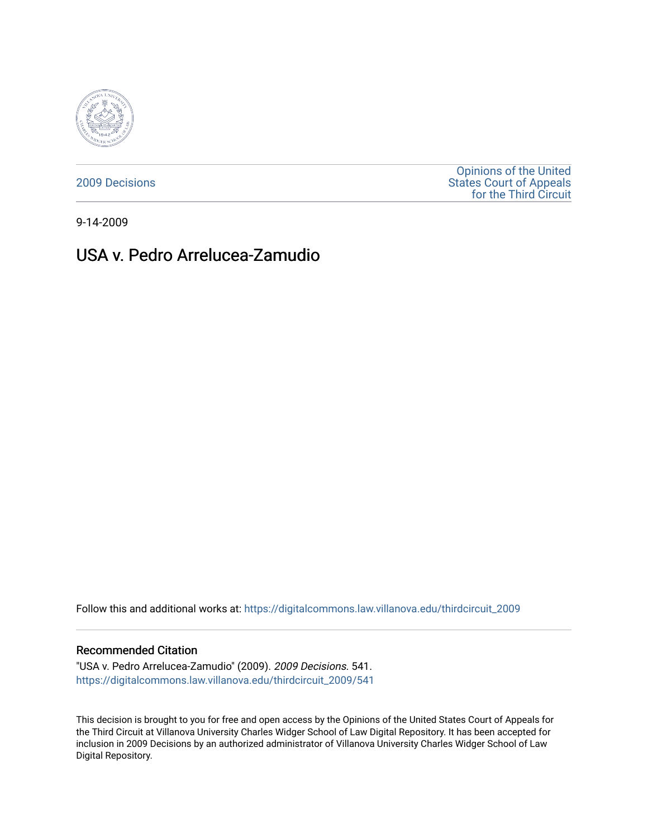

[2009 Decisions](https://digitalcommons.law.villanova.edu/thirdcircuit_2009)

[Opinions of the United](https://digitalcommons.law.villanova.edu/thirdcircuit)  [States Court of Appeals](https://digitalcommons.law.villanova.edu/thirdcircuit)  [for the Third Circuit](https://digitalcommons.law.villanova.edu/thirdcircuit) 

9-14-2009

# USA v. Pedro Arrelucea-Zamudio

Follow this and additional works at: [https://digitalcommons.law.villanova.edu/thirdcircuit\\_2009](https://digitalcommons.law.villanova.edu/thirdcircuit_2009?utm_source=digitalcommons.law.villanova.edu%2Fthirdcircuit_2009%2F541&utm_medium=PDF&utm_campaign=PDFCoverPages) 

### Recommended Citation

"USA v. Pedro Arrelucea-Zamudio" (2009). 2009 Decisions. 541. [https://digitalcommons.law.villanova.edu/thirdcircuit\\_2009/541](https://digitalcommons.law.villanova.edu/thirdcircuit_2009/541?utm_source=digitalcommons.law.villanova.edu%2Fthirdcircuit_2009%2F541&utm_medium=PDF&utm_campaign=PDFCoverPages)

This decision is brought to you for free and open access by the Opinions of the United States Court of Appeals for the Third Circuit at Villanova University Charles Widger School of Law Digital Repository. It has been accepted for inclusion in 2009 Decisions by an authorized administrator of Villanova University Charles Widger School of Law Digital Repository.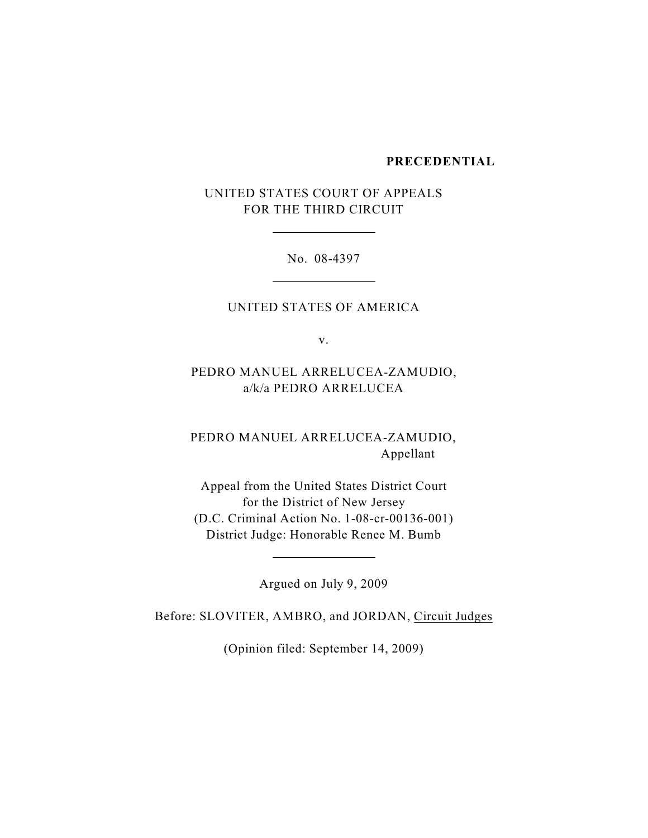### **PRECEDENTIAL**

UNITED STATES COURT OF APPEALS FOR THE THIRD CIRCUIT

l

l

l

No. 08-4397

UNITED STATES OF AMERICA

v.

PEDRO MANUEL ARRELUCEA-ZAMUDIO, a/k/a PEDRO ARRELUCEA

PEDRO MANUEL ARRELUCEA-ZAMUDIO, Appellant

Appeal from the United States District Court for the District of New Jersey (D.C. Criminal Action No. 1-08-cr-00136-001) District Judge: Honorable Renee M. Bumb

Argued on July 9, 2009

Before: SLOVITER, AMBRO, and JORDAN, Circuit Judges

(Opinion filed: September 14, 2009)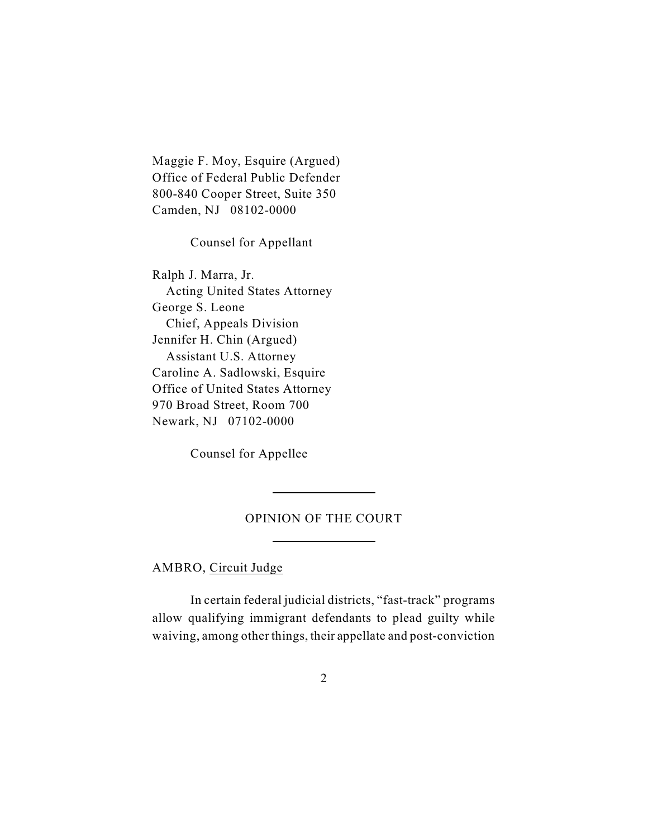Maggie F. Moy, Esquire (Argued) Office of Federal Public Defender 800-840 Cooper Street, Suite 350 Camden, NJ 08102-0000

Counsel for Appellant

Ralph J. Marra, Jr. Acting United States Attorney George S. Leone Chief, Appeals Division Jennifer H. Chin (Argued) Assistant U.S. Attorney Caroline A. Sadlowski, Esquire Office of United States Attorney 970 Broad Street, Room 700 Newark, NJ 07102-0000

Counsel for Appellee

l

 $\overline{a}$ 

# OPINION OF THE COURT

AMBRO, Circuit Judge

In certain federal judicial districts, "fast-track" programs allow qualifying immigrant defendants to plead guilty while waiving, among other things, their appellate and post-conviction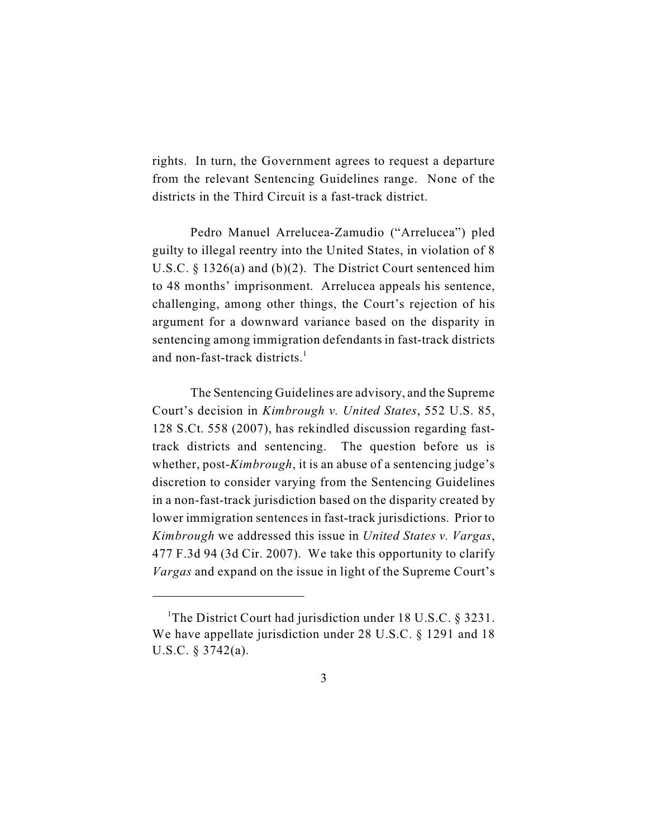rights. In turn, the Government agrees to request a departure from the relevant Sentencing Guidelines range. None of the districts in the Third Circuit is a fast-track district.

Pedro Manuel Arrelucea-Zamudio ("Arrelucea") pled guilty to illegal reentry into the United States, in violation of 8 U.S.C. § 1326(a) and (b)(2). The District Court sentenced him to 48 months' imprisonment. Arrelucea appeals his sentence, challenging, among other things, the Court's rejection of his argument for a downward variance based on the disparity in sentencing among immigration defendants in fast-track districts and non-fast-track districts.<sup>1</sup>

The Sentencing Guidelines are advisory, and the Supreme Court's decision in *Kimbrough v. United States*, 552 U.S. 85, 128 S.Ct. 558 (2007), has rekindled discussion regarding fasttrack districts and sentencing. The question before us is whether, post-*Kimbrough*, it is an abuse of a sentencing judge's discretion to consider varying from the Sentencing Guidelines in a non-fast-track jurisdiction based on the disparity created by lower immigration sentences in fast-track jurisdictions. Prior to *Kimbrough* we addressed this issue in *United States v. Vargas*, 477 F.3d 94 (3d Cir. 2007). We take this opportunity to clarify *Vargas* and expand on the issue in light of the Supreme Court's

<sup>&</sup>lt;sup>1</sup>The District Court had jurisdiction under 18 U.S.C.  $\S$  3231. We have appellate jurisdiction under 28 U.S.C. § 1291 and 18 U.S.C. § 3742(a).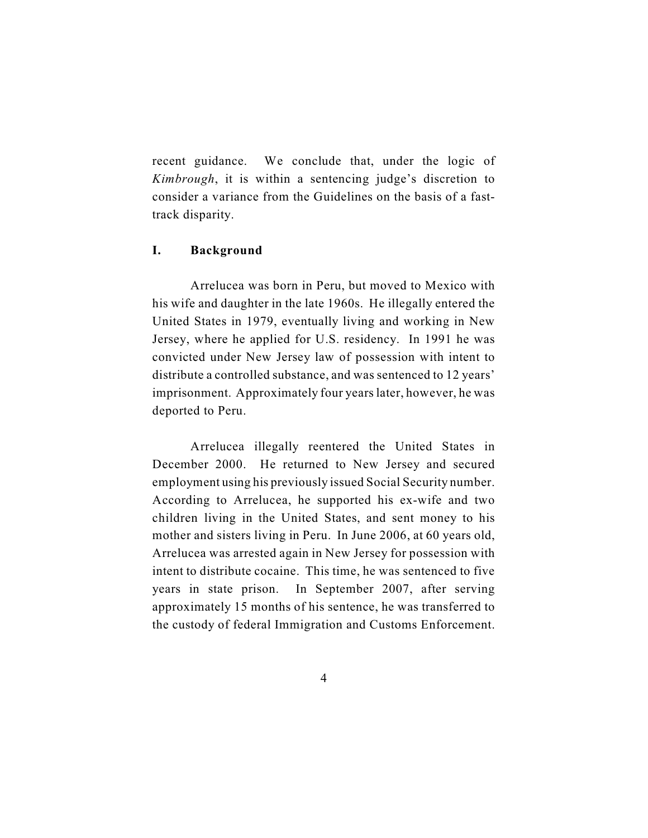recent guidance. We conclude that, under the logic of *Kimbrough*, it is within a sentencing judge's discretion to consider a variance from the Guidelines on the basis of a fasttrack disparity.

# **I. Background**

Arrelucea was born in Peru, but moved to Mexico with his wife and daughter in the late 1960s. He illegally entered the United States in 1979, eventually living and working in New Jersey, where he applied for U.S. residency. In 1991 he was convicted under New Jersey law of possession with intent to distribute a controlled substance, and was sentenced to 12 years' imprisonment. Approximately four years later, however, he was deported to Peru.

Arrelucea illegally reentered the United States in December 2000. He returned to New Jersey and secured employment using his previously issued Social Security number. According to Arrelucea, he supported his ex-wife and two children living in the United States, and sent money to his mother and sisters living in Peru. In June 2006, at 60 years old, Arrelucea was arrested again in New Jersey for possession with intent to distribute cocaine. This time, he was sentenced to five years in state prison. In September 2007, after serving approximately 15 months of his sentence, he was transferred to the custody of federal Immigration and Customs Enforcement.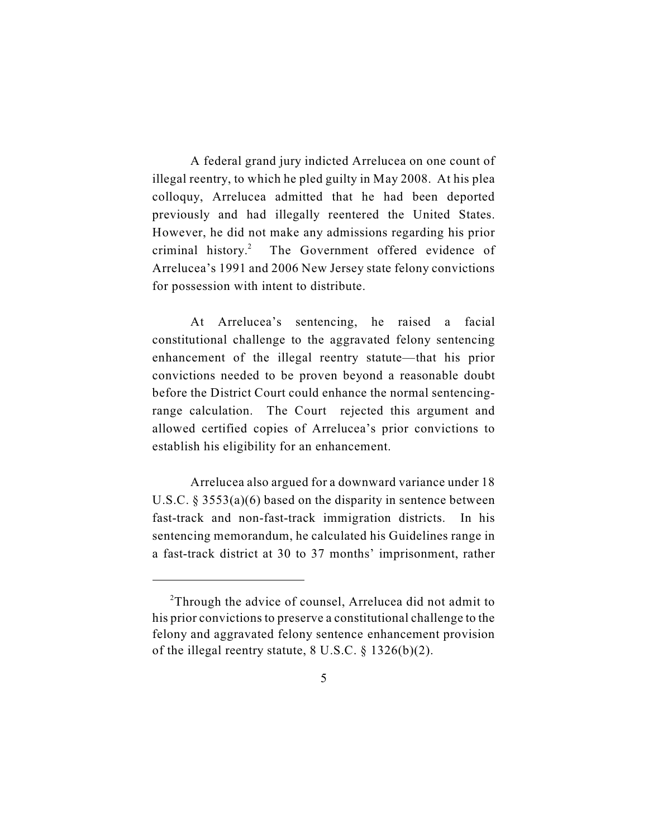A federal grand jury indicted Arrelucea on one count of illegal reentry, to which he pled guilty in May 2008. At his plea colloquy, Arrelucea admitted that he had been deported previously and had illegally reentered the United States. However, he did not make any admissions regarding his prior criminal history.<sup>2</sup> The Government offered evidence of Arrelucea's 1991 and 2006 New Jersey state felony convictions for possession with intent to distribute.

At Arrelucea's sentencing, he raised a facial constitutional challenge to the aggravated felony sentencing enhancement of the illegal reentry statute—that his prior convictions needed to be proven beyond a reasonable doubt before the District Court could enhance the normal sentencingrange calculation. The Court rejected this argument and allowed certified copies of Arrelucea's prior convictions to establish his eligibility for an enhancement.

Arrelucea also argued for a downward variance under 18 U.S.C. § 3553(a)(6) based on the disparity in sentence between fast-track and non-fast-track immigration districts. In his sentencing memorandum, he calculated his Guidelines range in a fast-track district at 30 to 37 months' imprisonment, rather

 $2$ Through the advice of counsel, Arrelucea did not admit to his prior convictions to preserve a constitutional challenge to the felony and aggravated felony sentence enhancement provision of the illegal reentry statute,  $8 \text{ U.S.C.} \$ § 1326(b)(2).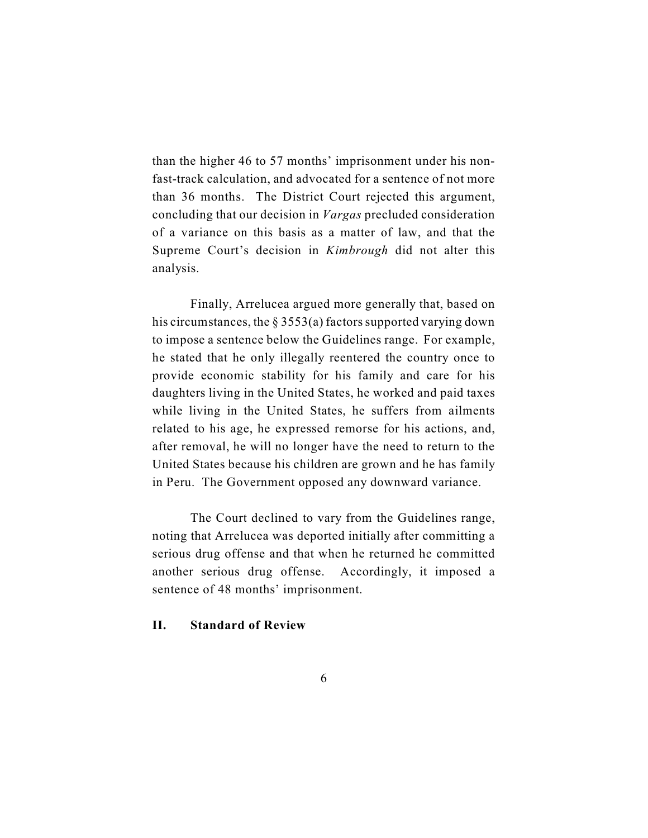than the higher 46 to 57 months' imprisonment under his nonfast-track calculation, and advocated for a sentence of not more than 36 months. The District Court rejected this argument, concluding that our decision in *Vargas* precluded consideration of a variance on this basis as a matter of law, and that the Supreme Court's decision in *Kimbrough* did not alter this analysis.

Finally, Arrelucea argued more generally that, based on his circumstances, the  $\S 3553(a)$  factors supported varying down to impose a sentence below the Guidelines range. For example, he stated that he only illegally reentered the country once to provide economic stability for his family and care for his daughters living in the United States, he worked and paid taxes while living in the United States, he suffers from ailments related to his age, he expressed remorse for his actions, and, after removal, he will no longer have the need to return to the United States because his children are grown and he has family in Peru. The Government opposed any downward variance.

The Court declined to vary from the Guidelines range, noting that Arrelucea was deported initially after committing a serious drug offense and that when he returned he committed another serious drug offense. Accordingly, it imposed a sentence of 48 months' imprisonment.

# **II. Standard of Review**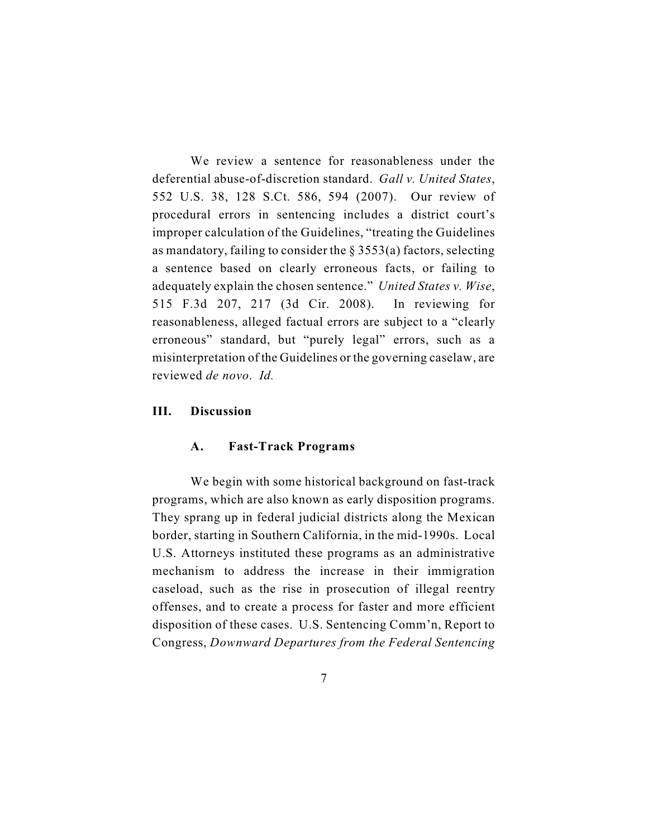We review a sentence for reasonableness under the deferential abuse-of-discretion standard. *Gall v. United States*, 552 U.S. 38, 128 S.Ct. 586, 594 (2007). Our review of procedural errors in sentencing includes a district court's improper calculation of the Guidelines, "treating the Guidelines as mandatory, failing to consider the  $\S$  3553(a) factors, selecting a sentence based on clearly erroneous facts, or failing to adequately explain the chosen sentence." *United States v. Wise*, 515 F.3d 207, 217 (3d Cir. 2008). In reviewing for reasonableness, alleged factual errors are subject to a "clearly erroneous" standard, but "purely legal" errors, such as a misinterpretation of the Guidelines or the governing caselaw, are reviewed *de novo*. *Id.*

### **III. Discussion**

#### **A. Fast-Track Programs**

We begin with some historical background on fast-track programs, which are also known as early disposition programs. They sprang up in federal judicial districts along the Mexican border, starting in Southern California, in the mid-1990s. Local U.S. Attorneys instituted these programs as an administrative mechanism to address the increase in their immigration caseload, such as the rise in prosecution of illegal reentry offenses, and to create a process for faster and more efficient disposition of these cases. U.S. Sentencing Comm'n, Report to Congress, *Downward Departures from the Federal Sentencing*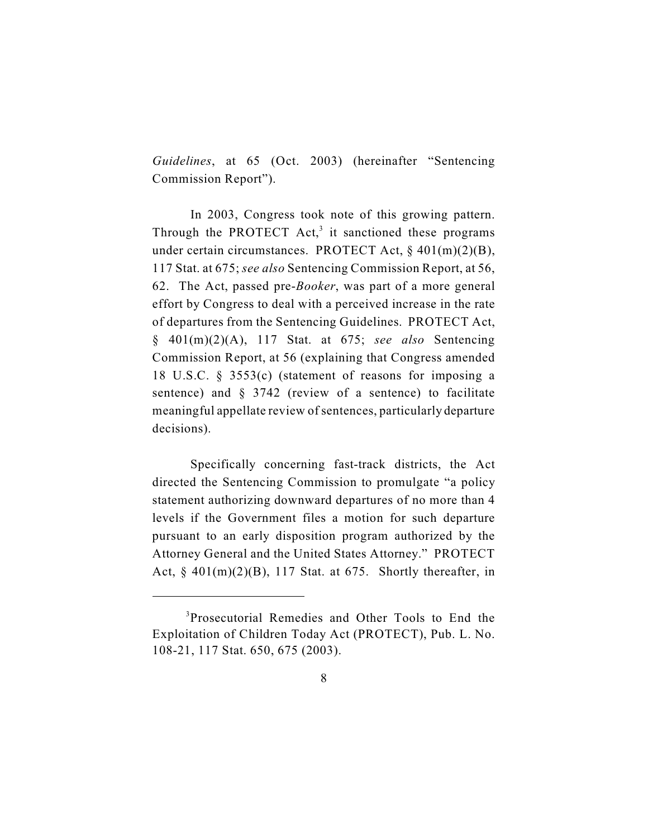*Guidelines*, at 65 (Oct. 2003) (hereinafter "Sentencing Commission Report").

In 2003, Congress took note of this growing pattern. Through the PROTECT  $Act<sub>3</sub><sup>3</sup>$  it sanctioned these programs under certain circumstances. PROTECT Act, § 401(m)(2)(B), 117 Stat. at 675; *see also* Sentencing Commission Report, at 56, 62. The Act, passed pre-*Booker*, was part of a more general effort by Congress to deal with a perceived increase in the rate of departures from the Sentencing Guidelines. PROTECT Act, § 401(m)(2)(A), 117 Stat. at 675; *see also* Sentencing Commission Report, at 56 (explaining that Congress amended 18 U.S.C. § 3553(c) (statement of reasons for imposing a sentence) and § 3742 (review of a sentence) to facilitate meaningful appellate review of sentences, particularly departure decisions).

Specifically concerning fast-track districts, the Act directed the Sentencing Commission to promulgate "a policy statement authorizing downward departures of no more than 4 levels if the Government files a motion for such departure pursuant to an early disposition program authorized by the Attorney General and the United States Attorney." PROTECT Act,  $\S$  401(m)(2)(B), 117 Stat. at 675. Shortly thereafter, in

<sup>&</sup>lt;sup>3</sup>Prosecutorial Remedies and Other Tools to End the Exploitation of Children Today Act (PROTECT), Pub. L. No. 108-21, 117 Stat. 650, 675 (2003).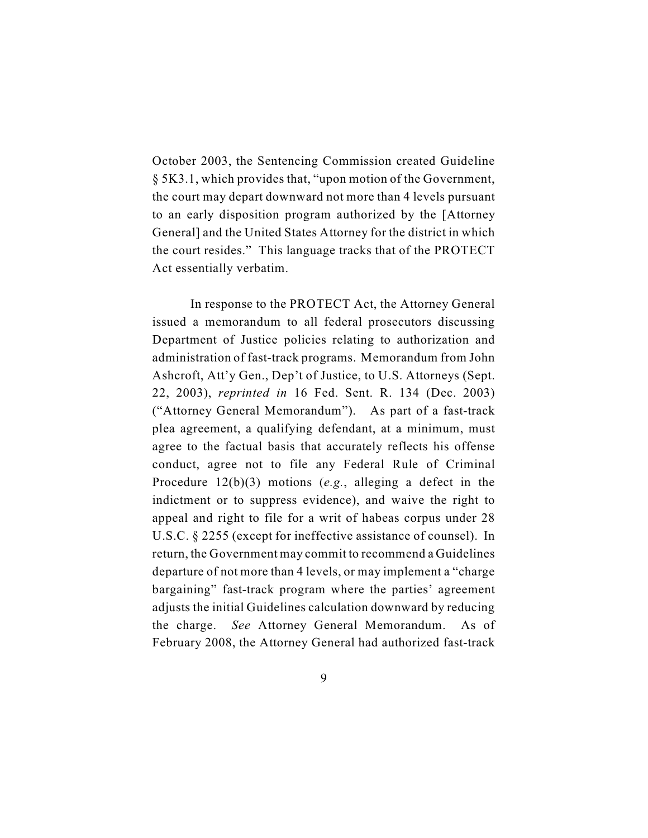October 2003, the Sentencing Commission created Guideline § 5K3.1, which provides that, "upon motion of the Government, the court may depart downward not more than 4 levels pursuant to an early disposition program authorized by the [Attorney General] and the United States Attorney for the district in which the court resides." This language tracks that of the PROTECT Act essentially verbatim.

In response to the PROTECT Act, the Attorney General issued a memorandum to all federal prosecutors discussing Department of Justice policies relating to authorization and administration of fast-track programs. Memorandum from John Ashcroft, Att'y Gen., Dep't of Justice, to U.S. Attorneys (Sept. 22, 2003), *reprinted in* 16 Fed. Sent. R. 134 (Dec. 2003) ("Attorney General Memorandum"). As part of a fast-track plea agreement, a qualifying defendant, at a minimum, must agree to the factual basis that accurately reflects his offense conduct, agree not to file any Federal Rule of Criminal Procedure 12(b)(3) motions (*e.g.*, alleging a defect in the indictment or to suppress evidence), and waive the right to appeal and right to file for a writ of habeas corpus under 28 U.S.C. § 2255 (except for ineffective assistance of counsel). In return, the Government may commit to recommend a Guidelines departure of not more than 4 levels, or may implement a "charge bargaining" fast-track program where the parties' agreement adjusts the initial Guidelines calculation downward by reducing the charge. *See* Attorney General Memorandum. As of February 2008, the Attorney General had authorized fast-track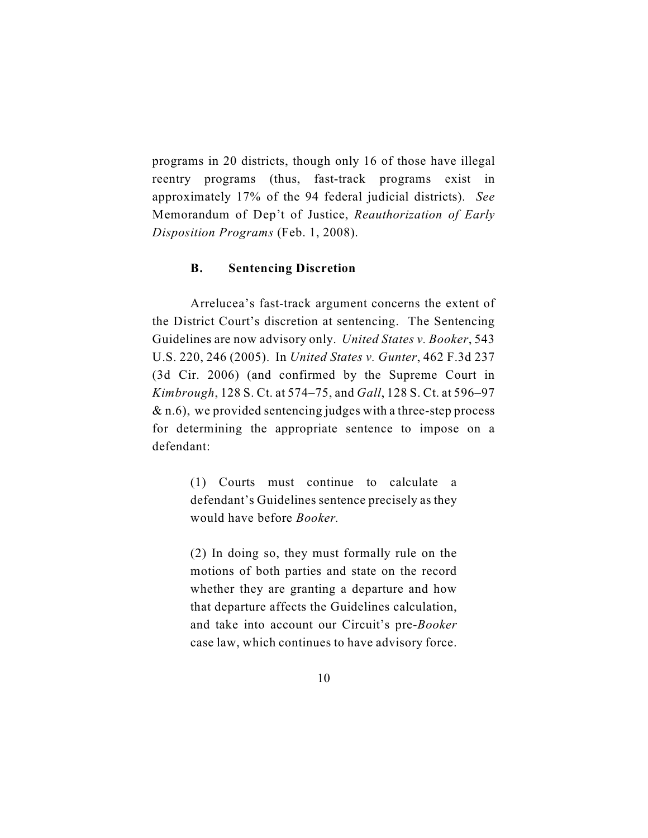programs in 20 districts, though only 16 of those have illegal reentry programs (thus, fast-track programs exist in approximately 17% of the 94 federal judicial districts). *See* Memorandum of Dep't of Justice, *Reauthorization of Early Disposition Programs* (Feb. 1, 2008).

### **B. Sentencing Discretion**

Arrelucea's fast-track argument concerns the extent of the District Court's discretion at sentencing. The Sentencing Guidelines are now advisory only. *United States v. Booker*, 543 U.S. 220, 246 (2005). In *United States v. Gunter*, 462 F.3d 237 (3d Cir. 2006) (and confirmed by the Supreme Court in *Kimbrough*, 128 S. Ct. at 574–75, and *Gall*, 128 S. Ct. at 596–97  $\&$  n.6), we provided sentencing judges with a three-step process for determining the appropriate sentence to impose on a defendant:

> (1) Courts must continue to calculate a defendant's Guidelines sentence precisely as they would have before *Booker.*

> (2) In doing so, they must formally rule on the motions of both parties and state on the record whether they are granting a departure and how that departure affects the Guidelines calculation, and take into account our Circuit's pre-*Booker* case law, which continues to have advisory force.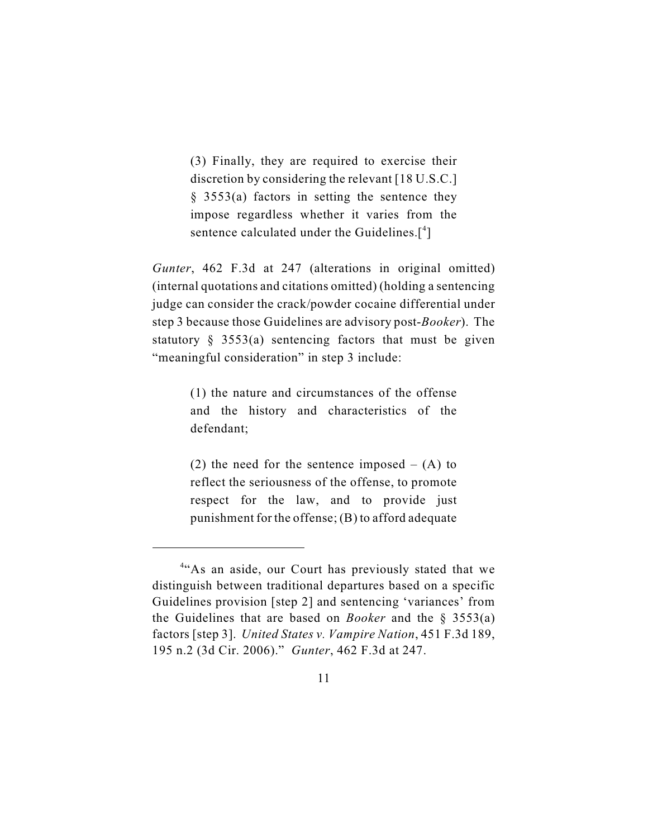(3) Finally, they are required to exercise their discretion by considering the relevant [18 U.S.C.] § 3553(a) factors in setting the sentence they impose regardless whether it varies from the sentence calculated under the Guidelines. $[$ <sup>4</sup>]

*Gunter*, 462 F.3d at 247 (alterations in original omitted) (internal quotations and citations omitted) (holding a sentencing judge can consider the crack/powder cocaine differential under step 3 because those Guidelines are advisory post-*Booker*). The statutory  $\S$  3553(a) sentencing factors that must be given "meaningful consideration" in step 3 include:

> (1) the nature and circumstances of the offense and the history and characteristics of the defendant;

> (2) the need for the sentence imposed  $-$  (A) to reflect the seriousness of the offense, to promote respect for the law, and to provide just punishment for the offense; (B) to afford adequate

<sup>&</sup>lt;sup>4"</sup>As an aside, our Court has previously stated that we distinguish between traditional departures based on a specific Guidelines provision [step 2] and sentencing 'variances' from the Guidelines that are based on *Booker* and the § 3553(a) factors [step 3]. *United States v. Vampire Nation*, 451 F.3d 189, 195 n.2 (3d Cir. 2006)." *Gunter*, 462 F.3d at 247.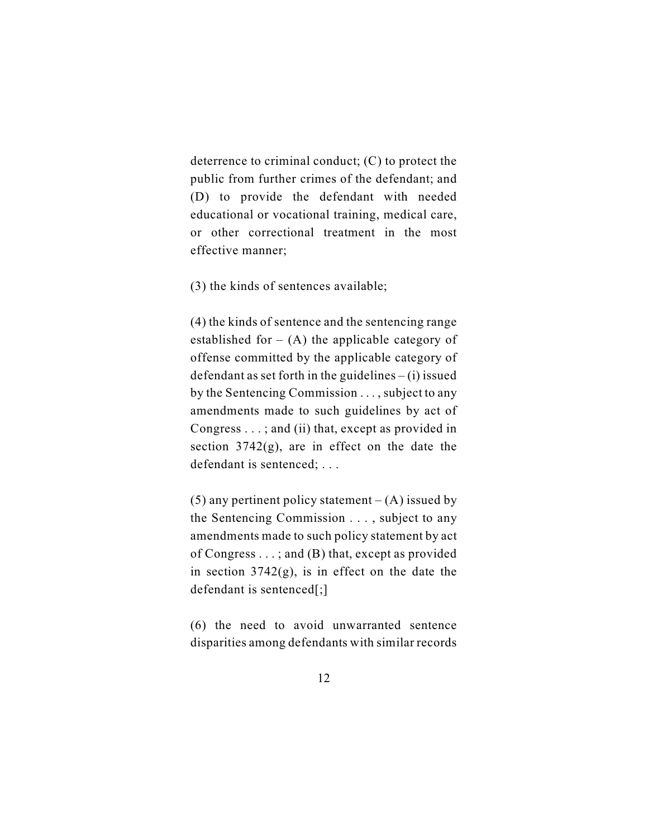deterrence to criminal conduct; (C) to protect the public from further crimes of the defendant; and (D) to provide the defendant with needed educational or vocational training, medical care, or other correctional treatment in the most effective manner;

(3) the kinds of sentences available;

(4) the kinds of sentence and the sentencing range established for  $-$  (A) the applicable category of offense committed by the applicable category of defendant as set forth in the guidelines  $-$  (i) issued by the Sentencing Commission . . . , subject to any amendments made to such guidelines by act of Congress . . . ; and (ii) that, except as provided in section  $3742(g)$ , are in effect on the date the defendant is sentenced; ...

(5) any pertinent policy statement  $-$  (A) issued by the Sentencing Commission . . . , subject to any amendments made to such policy statement by act of Congress . . . ; and (B) that, except as provided in section  $3742(g)$ , is in effect on the date the defendant is sentenced[;]

(6) the need to avoid unwarranted sentence disparities among defendants with similar records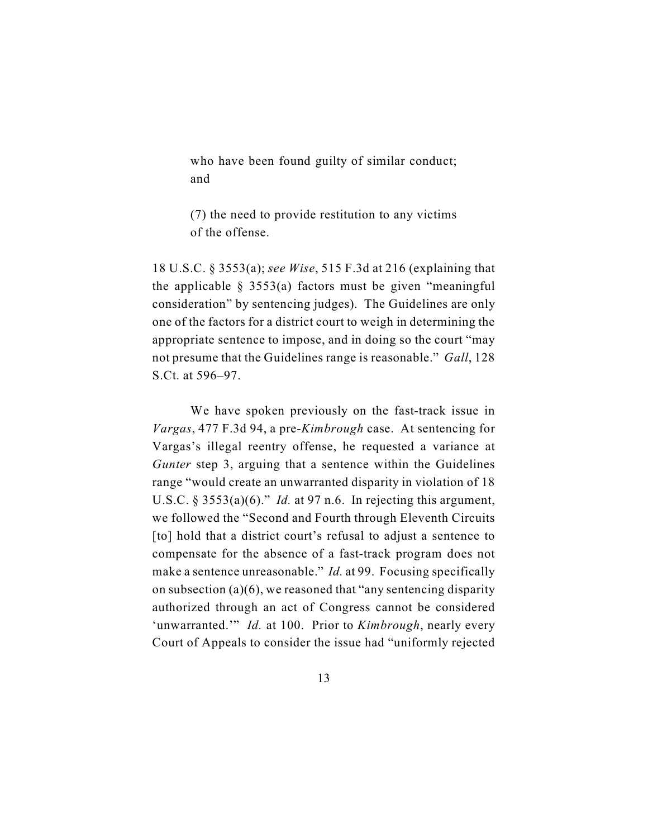who have been found guilty of similar conduct; and

(7) the need to provide restitution to any victims of the offense.

18 U.S.C. § 3553(a); *see Wise*, 515 F.3d at 216 (explaining that the applicable  $\S$  3553(a) factors must be given "meaningful consideration" by sentencing judges). The Guidelines are only one of the factors for a district court to weigh in determining the appropriate sentence to impose, and in doing so the court "may not presume that the Guidelines range is reasonable." *Gall*, 128 S.Ct. at 596–97.

We have spoken previously on the fast-track issue in *Vargas*, 477 F.3d 94, a pre-*Kimbrough* case. At sentencing for Vargas's illegal reentry offense, he requested a variance at *Gunter* step 3, arguing that a sentence within the Guidelines range "would create an unwarranted disparity in violation of 18 U.S.C. § 3553(a)(6)." *Id.* at 97 n.6. In rejecting this argument, we followed the "Second and Fourth through Eleventh Circuits [to] hold that a district court's refusal to adjust a sentence to compensate for the absence of a fast-track program does not make a sentence unreasonable." *Id.* at 99. Focusing specifically on subsection (a)(6), we reasoned that "any sentencing disparity authorized through an act of Congress cannot be considered 'unwarranted.'" *Id.* at 100. Prior to *Kimbrough*, nearly every Court of Appeals to consider the issue had "uniformly rejected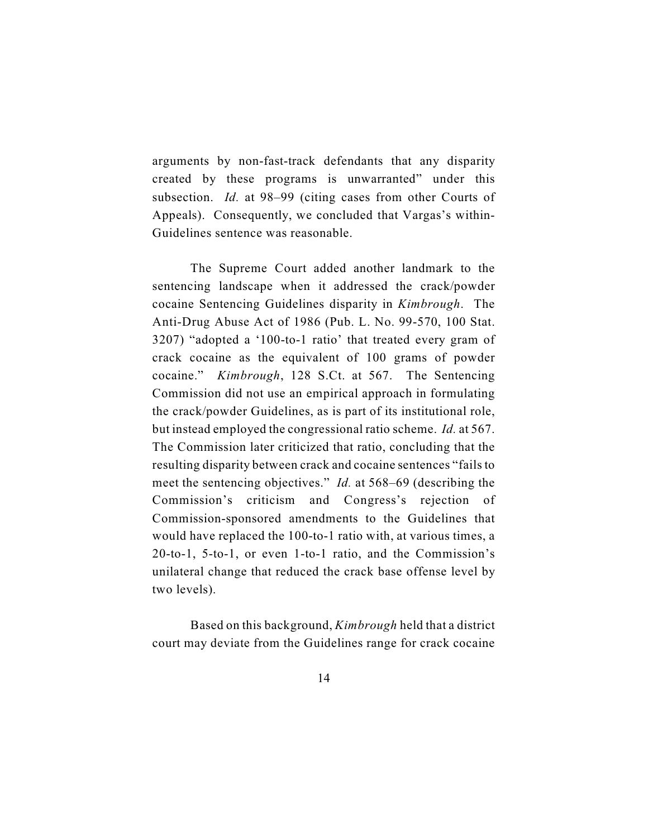arguments by non-fast-track defendants that any disparity created by these programs is unwarranted" under this subsection.*Id.* at 98–99 (citing cases from other Courts of Appeals). Consequently, we concluded that Vargas's within-Guidelines sentence was reasonable.

The Supreme Court added another landmark to the sentencing landscape when it addressed the crack/powder cocaine Sentencing Guidelines disparity in *Kimbrough*. The Anti-Drug Abuse Act of 1986 (Pub. L. No. 99-570, 100 Stat. 3207) "adopted a '100-to-1 ratio' that treated every gram of crack cocaine as the equivalent of 100 grams of powder cocaine." *Kimbrough*, 128 S.Ct. at 567. The Sentencing Commission did not use an empirical approach in formulating the crack/powder Guidelines, as is part of its institutional role, but instead employed the congressional ratio scheme. *Id.* at 567. The Commission later criticized that ratio, concluding that the resulting disparity between crack and cocaine sentences "fails to meet the sentencing objectives." *Id.* at 568–69 (describing the Commission's criticism and Congress's rejection of Commission-sponsored amendments to the Guidelines that would have replaced the 100-to-1 ratio with, at various times, a 20-to-1, 5-to-1, or even 1-to-1 ratio, and the Commission's unilateral change that reduced the crack base offense level by two levels).

Based on this background, *Kimbrough* held that a district court may deviate from the Guidelines range for crack cocaine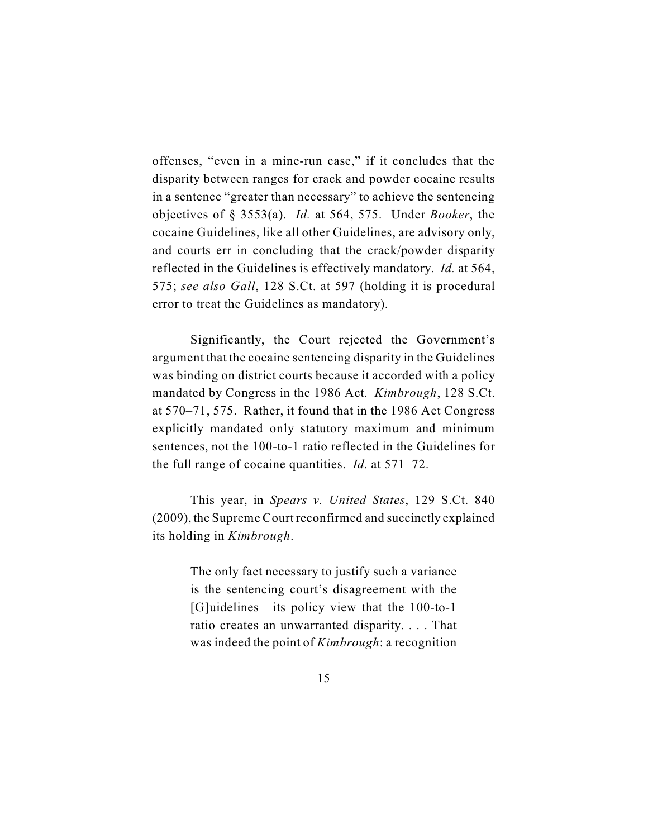offenses, "even in a mine-run case," if it concludes that the disparity between ranges for crack and powder cocaine results in a sentence "greater than necessary" to achieve the sentencing objectives of § 3553(a). *Id.* at 564, 575. Under *Booker*, the cocaine Guidelines, like all other Guidelines, are advisory only, and courts err in concluding that the crack/powder disparity reflected in the Guidelines is effectively mandatory. *Id.* at 564, 575; *see also Gall*, 128 S.Ct. at 597 (holding it is procedural error to treat the Guidelines as mandatory).

Significantly, the Court rejected the Government's argument that the cocaine sentencing disparity in the Guidelines was binding on district courts because it accorded with a policy mandated by Congress in the 1986 Act. *Kimbrough*, 128 S.Ct. at 570–71, 575. Rather, it found that in the 1986 Act Congress explicitly mandated only statutory maximum and minimum sentences, not the 100-to-1 ratio reflected in the Guidelines for the full range of cocaine quantities. *Id*. at 571–72.

This year, in *Spears v. United States*, 129 S.Ct. 840 (2009), the Supreme Court reconfirmed and succinctly explained its holding in *Kimbrough*.

> The only fact necessary to justify such a variance is the sentencing court's disagreement with the [G]uidelines—its policy view that the 100-to-1 ratio creates an unwarranted disparity. . . . That was indeed the point of *Kimbrough*: a recognition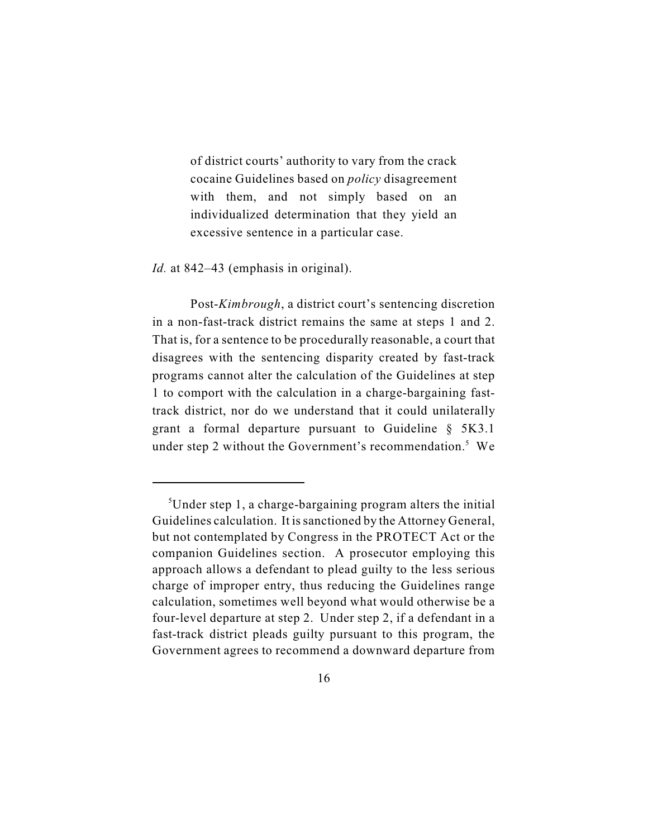of district courts' authority to vary from the crack cocaine Guidelines based on *policy* disagreement with them, and not simply based on an individualized determination that they yield an excessive sentence in a particular case.

*Id.* at 842–43 (emphasis in original).

Post-*Kimbrough*, a district court's sentencing discretion in a non-fast-track district remains the same at steps 1 and 2. That is, for a sentence to be procedurally reasonable, a court that disagrees with the sentencing disparity created by fast-track programs cannot alter the calculation of the Guidelines at step 1 to comport with the calculation in a charge-bargaining fasttrack district, nor do we understand that it could unilaterally grant a formal departure pursuant to Guideline § 5K3.1 under step 2 without the Government's recommendation.<sup>5</sup> We

<sup>&</sup>lt;sup>5</sup>Under step 1, a charge-bargaining program alters the initial Guidelines calculation. It is sanctioned by the Attorney General, but not contemplated by Congress in the PROTECT Act or the companion Guidelines section. A prosecutor employing this approach allows a defendant to plead guilty to the less serious charge of improper entry, thus reducing the Guidelines range calculation, sometimes well beyond what would otherwise be a four-level departure at step 2. Under step 2, if a defendant in a fast-track district pleads guilty pursuant to this program, the Government agrees to recommend a downward departure from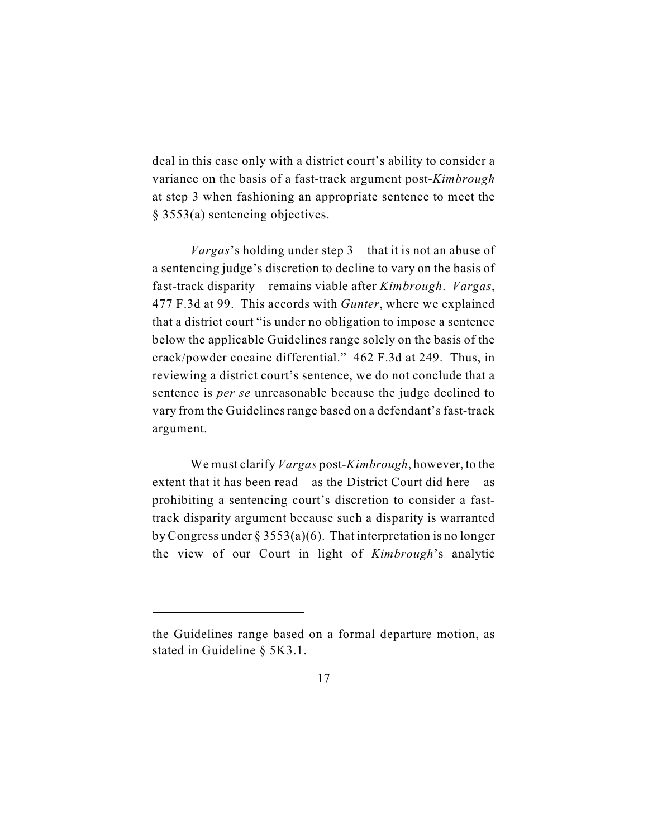deal in this case only with a district court's ability to consider a variance on the basis of a fast-track argument post-*Kimbrough* at step 3 when fashioning an appropriate sentence to meet the § 3553(a) sentencing objectives.

*Vargas*'s holding under step 3—that it is not an abuse of a sentencing judge's discretion to decline to vary on the basis of fast-track disparity—remains viable after *Kimbrough*. *Vargas*, 477 F.3d at 99. This accords with *Gunter*, where we explained that a district court "is under no obligation to impose a sentence below the applicable Guidelines range solely on the basis of the crack/powder cocaine differential." 462 F.3d at 249. Thus, in reviewing a district court's sentence, we do not conclude that a sentence is *per se* unreasonable because the judge declined to vary from the Guidelines range based on a defendant's fast-track argument.

We must clarify *Vargas* post-*Kimbrough*, however, to the extent that it has been read—as the District Court did here—as prohibiting a sentencing court's discretion to consider a fasttrack disparity argument because such a disparity is warranted by Congress under § 3553(a)(6). That interpretation is no longer the view of our Court in light of *Kimbrough*'s analytic

the Guidelines range based on a formal departure motion, as stated in Guideline § 5K3.1.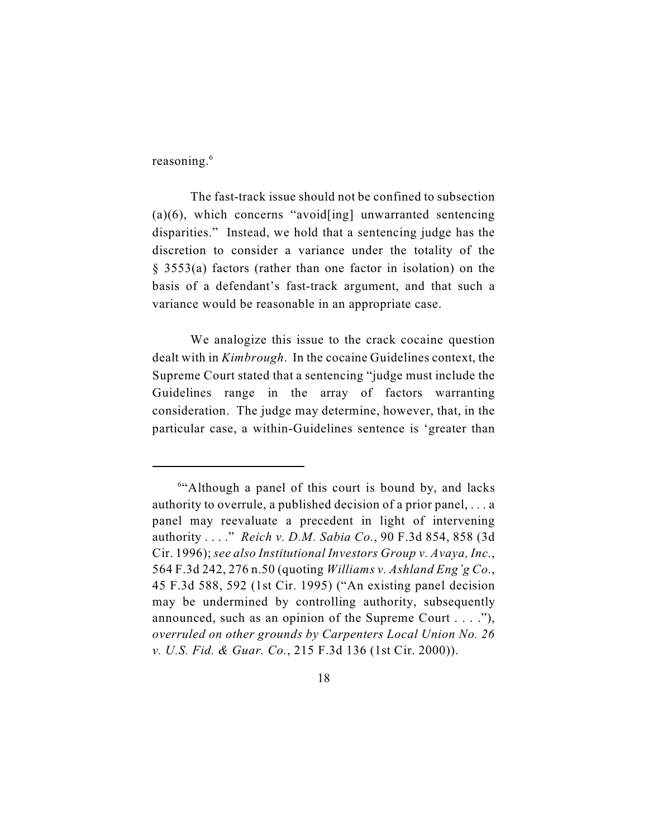reasoning.<sup>6</sup>

The fast-track issue should not be confined to subsection  $(a)(6)$ , which concerns "avoid[ing] unwarranted sentencing disparities." Instead, we hold that a sentencing judge has the discretion to consider a variance under the totality of the § 3553(a) factors (rather than one factor in isolation) on the basis of a defendant's fast-track argument, and that such a variance would be reasonable in an appropriate case.

We analogize this issue to the crack cocaine question dealt with in *Kimbrough*. In the cocaine Guidelines context, the Supreme Court stated that a sentencing "judge must include the Guidelines range in the array of factors warranting consideration. The judge may determine, however, that, in the particular case, a within-Guidelines sentence is 'greater than

 $64$ <sup>t</sup>Although a panel of this court is bound by, and lacks authority to overrule, a published decision of a prior panel, . . . a panel may reevaluate a precedent in light of intervening authority . . . ." *Reich v. D.M. Sabia Co.*, 90 F.3d 854, 858 (3d Cir. 1996); *see also Institutional Investors Group v. Avaya, Inc.*, 564 F.3d 242, 276 n.50 (quoting *Williams v. Ashland Eng'g Co.*, 45 F.3d 588, 592 (1st Cir. 1995) ("An existing panel decision may be undermined by controlling authority, subsequently announced, such as an opinion of the Supreme Court . . . ."), *overruled on other grounds by Carpenters Local Union No. 26 v. U.S. Fid. & Guar. Co.*, 215 F.3d 136 (1st Cir. 2000)).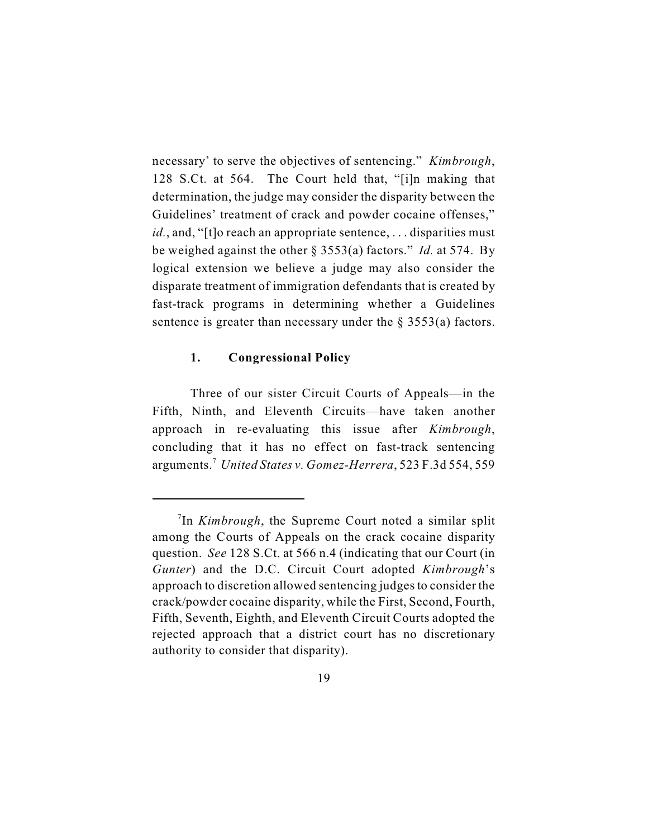necessary' to serve the objectives of sentencing." *Kimbrough*, 128 S.Ct. at 564. The Court held that, "[i]n making that determination, the judge may consider the disparity between the Guidelines' treatment of crack and powder cocaine offenses," *id.*, and, "[t]o reach an appropriate sentence, ... disparities must be weighed against the other § 3553(a) factors." *Id.* at 574. By logical extension we believe a judge may also consider the disparate treatment of immigration defendants that is created by fast-track programs in determining whether a Guidelines sentence is greater than necessary under the  $\S$  3553(a) factors.

# **1. Congressional Policy**

Three of our sister Circuit Courts of Appeals—in the Fifth, Ninth, and Eleventh Circuits—have taken another approach in re-evaluating this issue after *Kimbrough*, concluding that it has no effect on fast-track sentencing arguments. *United States v. Gomez-Herrera*, 523 F.3d 554, 559 <sup>7</sup>

<sup>&</sup>lt;sup>7</sup>In *Kimbrough*, the Supreme Court noted a similar split among the Courts of Appeals on the crack cocaine disparity question. *See* 128 S.Ct. at 566 n.4 (indicating that our Court (in *Gunter*) and the D.C. Circuit Court adopted *Kimbrough*'s approach to discretion allowed sentencing judges to consider the crack/powder cocaine disparity, while the First, Second, Fourth, Fifth, Seventh, Eighth, and Eleventh Circuit Courts adopted the rejected approach that a district court has no discretionary authority to consider that disparity).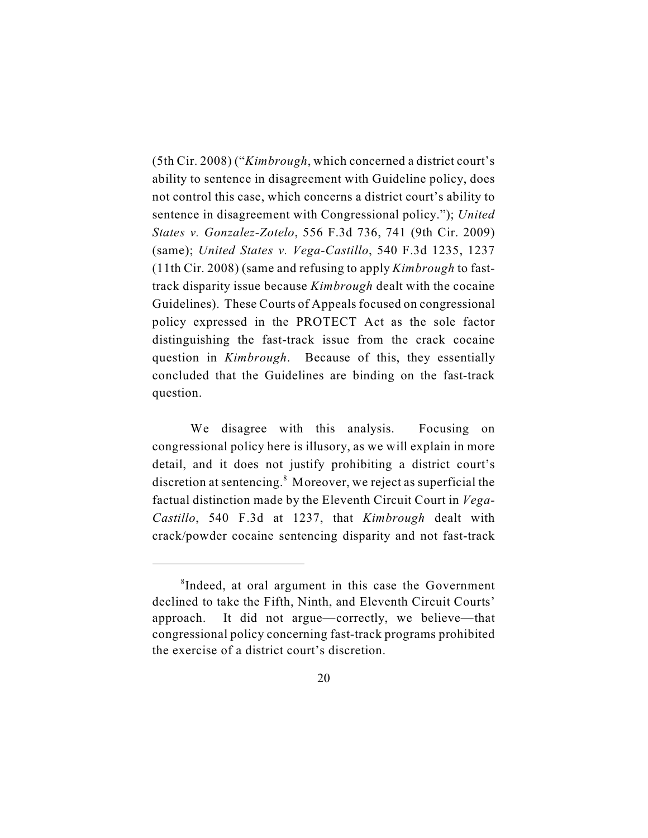(5th Cir. 2008) ("*Kimbrough*, which concerned a district court's ability to sentence in disagreement with Guideline policy, does not control this case, which concerns a district court's ability to sentence in disagreement with Congressional policy."); *United States v. Gonzalez-Zotelo*, 556 F.3d 736, 741 (9th Cir. 2009) (same); *United States v. Vega-Castillo*, 540 F.3d 1235, 1237 (11th Cir. 2008) (same and refusing to apply *Kimbrough* to fasttrack disparity issue because *Kimbrough* dealt with the cocaine Guidelines). These Courts of Appeals focused on congressional policy expressed in the PROTECT Act as the sole factor distinguishing the fast-track issue from the crack cocaine question in *Kimbrough*. Because of this, they essentially concluded that the Guidelines are binding on the fast-track question.

We disagree with this analysis. Focusing on congressional policy here is illusory, as we will explain in more detail, and it does not justify prohibiting a district court's discretion at sentencing. $8$  Moreover, we reject as superficial the factual distinction made by the Eleventh Circuit Court in *Vega-Castillo*, 540 F.3d at 1237, that *Kimbrough* dealt with crack/powder cocaine sentencing disparity and not fast-track

 ${}^8$ Indeed, at oral argument in this case the Government declined to take the Fifth, Ninth, and Eleventh Circuit Courts' approach. It did not argue—correctly, we believe—that congressional policy concerning fast-track programs prohibited the exercise of a district court's discretion.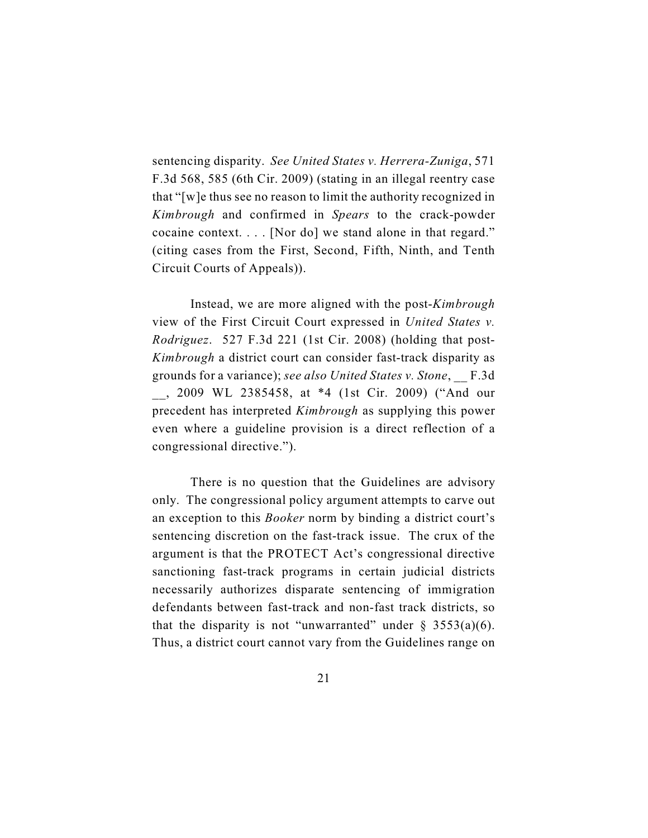sentencing disparity. *See United States v. Herrera-Zuniga*, 571 F.3d 568, 585 (6th Cir. 2009) (stating in an illegal reentry case that "[w]e thus see no reason to limit the authority recognized in *Kimbrough* and confirmed in *Spears* to the crack-powder cocaine context. . . . [Nor do] we stand alone in that regard." (citing cases from the First, Second, Fifth, Ninth, and Tenth Circuit Courts of Appeals)).

Instead, we are more aligned with the post-*Kimbrough* view of the First Circuit Court expressed in *United States v. Rodriguez*. 527 F.3d 221 (1st Cir. 2008) (holding that post-*Kimbrough* a district court can consider fast-track disparity as grounds for a variance); *see also United States v. Stone*, \_\_ F.3d \_\_, 2009 WL 2385458, at \*4 (1st Cir. 2009) ("And our precedent has interpreted *Kimbrough* as supplying this power even where a guideline provision is a direct reflection of a congressional directive.").

There is no question that the Guidelines are advisory only. The congressional policy argument attempts to carve out an exception to this *Booker* norm by binding a district court's sentencing discretion on the fast-track issue. The crux of the argument is that the PROTECT Act's congressional directive sanctioning fast-track programs in certain judicial districts necessarily authorizes disparate sentencing of immigration defendants between fast-track and non-fast track districts, so that the disparity is not "unwarranted" under  $\S$  3553(a)(6). Thus, a district court cannot vary from the Guidelines range on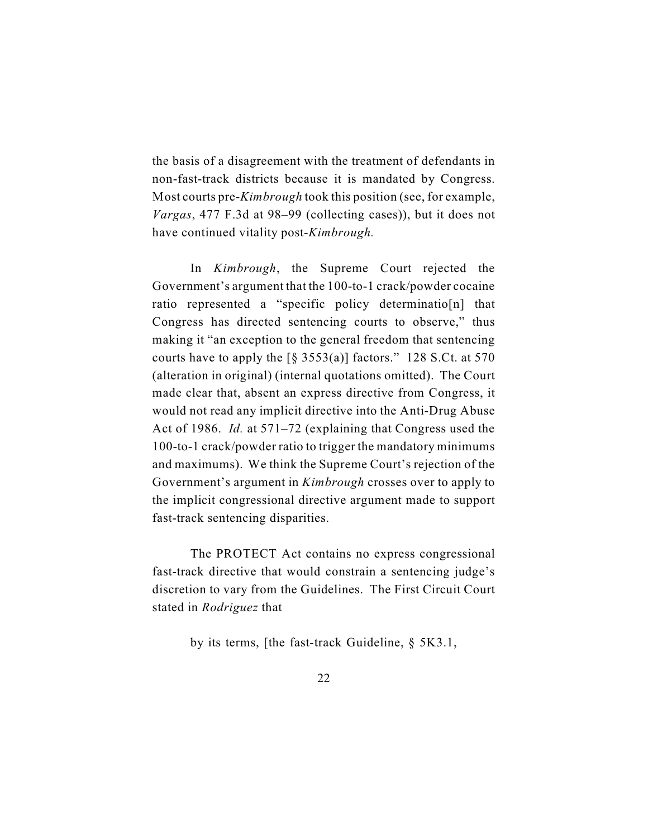the basis of a disagreement with the treatment of defendants in non-fast-track districts because it is mandated by Congress. Most courts pre-*Kimbrough* took this position (see, for example, *Vargas*, 477 F.3d at 98–99 (collecting cases)), but it does not have continued vitality post-*Kimbrough.* 

In *Kimbrough*, the Supreme Court rejected the Government's argument that the 100-to-1 crack/powder cocaine ratio represented a "specific policy determinatio[n] that Congress has directed sentencing courts to observe," thus making it "an exception to the general freedom that sentencing courts have to apply the  $\lceil \frac{6}{5} \cdot 3553(a) \rceil$  factors." 128 S.Ct. at 570 (alteration in original) (internal quotations omitted). The Court made clear that, absent an express directive from Congress, it would not read any implicit directive into the Anti-Drug Abuse Act of 1986. *Id.* at 571–72 (explaining that Congress used the 100-to-1 crack/powder ratio to trigger the mandatory minimums and maximums). We think the Supreme Court's rejection of the Government's argument in *Kimbrough* crosses over to apply to the implicit congressional directive argument made to support fast-track sentencing disparities.

The PROTECT Act contains no express congressional fast-track directive that would constrain a sentencing judge's discretion to vary from the Guidelines. The First Circuit Court stated in *Rodriguez* that

by its terms, [the fast-track Guideline, § 5K3.1,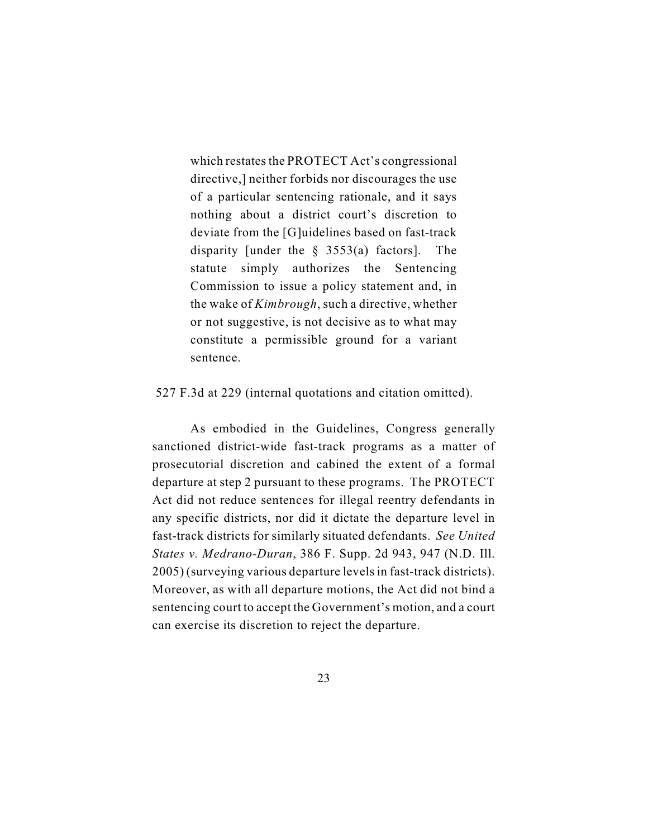which restates the PROTECT Act's congressional directive,] neither forbids nor discourages the use of a particular sentencing rationale, and it says nothing about a district court's discretion to deviate from the [G]uidelines based on fast-track disparity [under the § 3553(a) factors]. The statute simply authorizes the Sentencing Commission to issue a policy statement and, in the wake of *Kimbrough*, such a directive, whether or not suggestive, is not decisive as to what may constitute a permissible ground for a variant sentence.

### 527 F.3d at 229 (internal quotations and citation omitted).

As embodied in the Guidelines, Congress generally sanctioned district-wide fast-track programs as a matter of prosecutorial discretion and cabined the extent of a formal departure at step 2 pursuant to these programs. The PROTECT Act did not reduce sentences for illegal reentry defendants in any specific districts, nor did it dictate the departure level in fast-track districts for similarly situated defendants. *See United States v. Medrano-Duran*, 386 F. Supp. 2d 943, 947 (N.D. Ill. 2005) (surveying various departure levels in fast-track districts). Moreover, as with all departure motions, the Act did not bind a sentencing court to accept the Government's motion, and a court can exercise its discretion to reject the departure.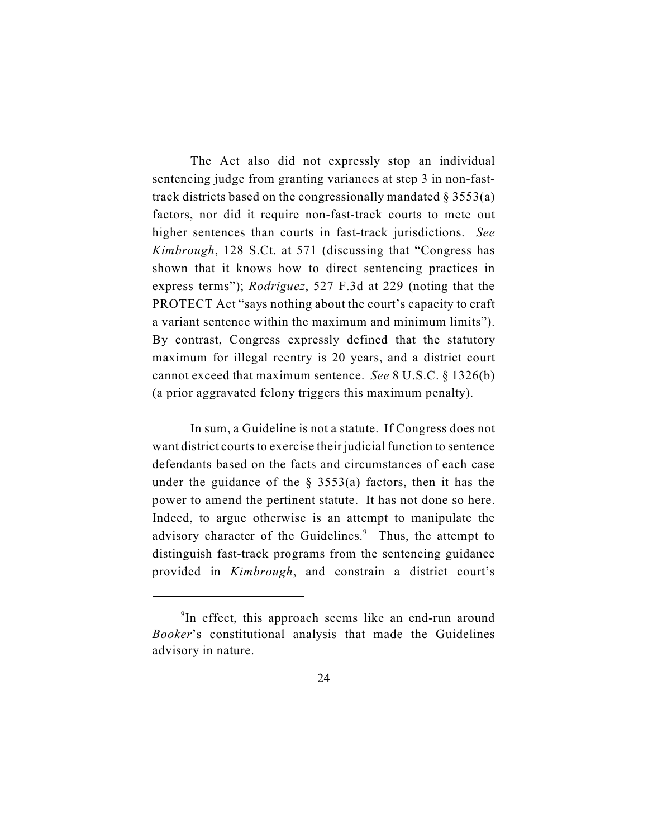The Act also did not expressly stop an individual sentencing judge from granting variances at step 3 in non-fasttrack districts based on the congressionally mandated  $\S 3553(a)$ factors, nor did it require non-fast-track courts to mete out higher sentences than courts in fast-track jurisdictions. *See Kimbrough*, 128 S.Ct. at 571 (discussing that "Congress has shown that it knows how to direct sentencing practices in express terms"); *Rodriguez*, 527 F.3d at 229 (noting that the PROTECT Act "says nothing about the court's capacity to craft a variant sentence within the maximum and minimum limits"). By contrast, Congress expressly defined that the statutory maximum for illegal reentry is 20 years, and a district court cannot exceed that maximum sentence. *See* 8 U.S.C. § 1326(b) (a prior aggravated felony triggers this maximum penalty).

In sum, a Guideline is not a statute. If Congress does not want district courts to exercise their judicial function to sentence defendants based on the facts and circumstances of each case under the guidance of the  $\S$  3553(a) factors, then it has the power to amend the pertinent statute. It has not done so here. Indeed, to argue otherwise is an attempt to manipulate the advisory character of the Guidelines. $9$  Thus, the attempt to distinguish fast-track programs from the sentencing guidance provided in *Kimbrough*, and constrain a district court's

 $\rm{P}$ In effect, this approach seems like an end-run around *Booker*'s constitutional analysis that made the Guidelines advisory in nature.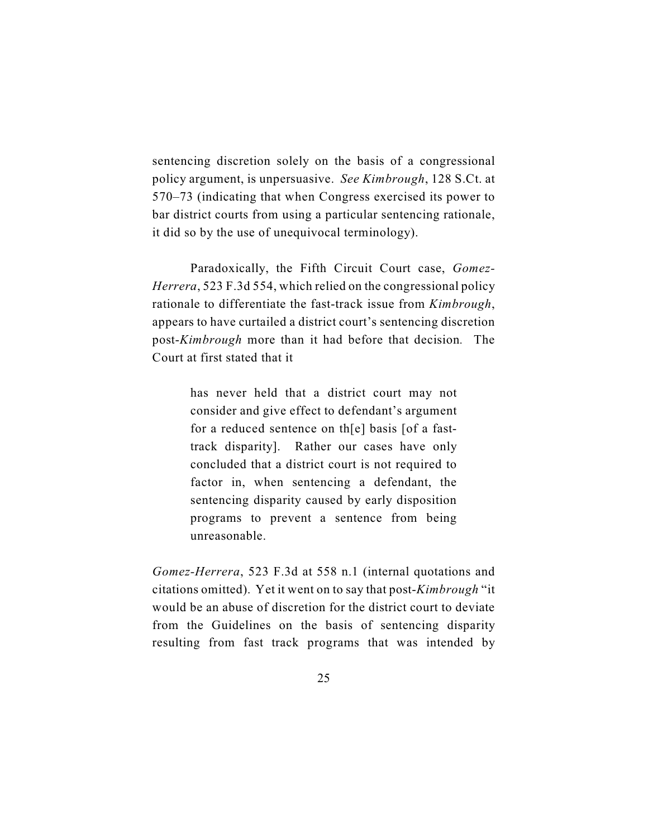sentencing discretion solely on the basis of a congressional policy argument, is unpersuasive. *See Kimbrough*, 128 S.Ct. at 570–73 (indicating that when Congress exercised its power to bar district courts from using a particular sentencing rationale, it did so by the use of unequivocal terminology).

Paradoxically, the Fifth Circuit Court case, *Gomez-Herrera*, 523 F.3d 554, which relied on the congressional policy rationale to differentiate the fast-track issue from *Kimbrough*, appears to have curtailed a district court's sentencing discretion post-*Kimbrough* more than it had before that decision*.* The Court at first stated that it

> has never held that a district court may not consider and give effect to defendant's argument for a reduced sentence on th[e] basis [of a fasttrack disparity]. Rather our cases have only concluded that a district court is not required to factor in, when sentencing a defendant, the sentencing disparity caused by early disposition programs to prevent a sentence from being unreasonable.

*Gomez-Herrera*, 523 F.3d at 558 n.1 (internal quotations and citations omitted). Yet it went on to say that post-*Kimbrough* "it would be an abuse of discretion for the district court to deviate from the Guidelines on the basis of sentencing disparity resulting from fast track programs that was intended by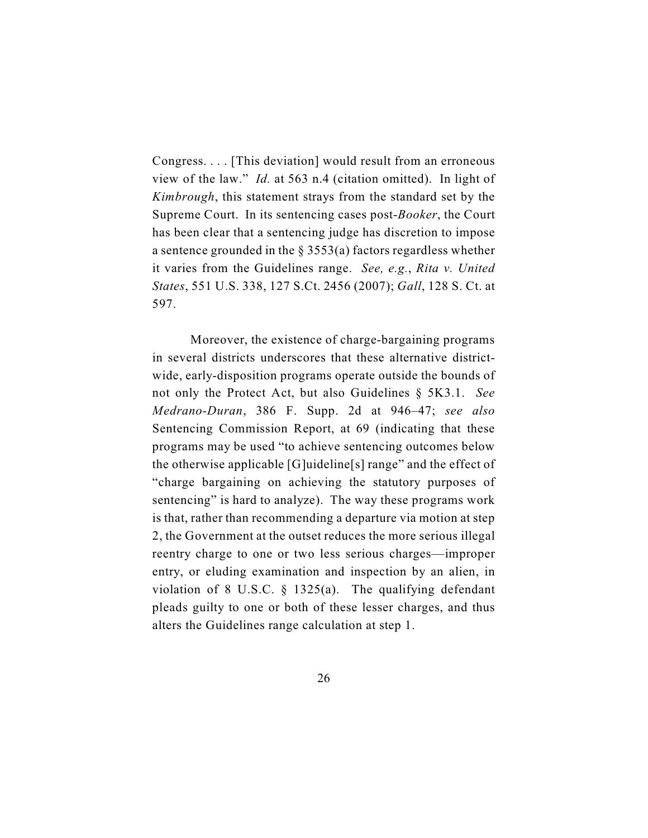Congress. . . . [This deviation] would result from an erroneous view of the law." *Id.* at 563 n.4 (citation omitted). In light of *Kimbrough*, this statement strays from the standard set by the Supreme Court. In its sentencing cases post-*Booker*, the Court has been clear that a sentencing judge has discretion to impose a sentence grounded in the § 3553(a) factors regardless whether it varies from the Guidelines range. *See, e.g.*, *Rita v. United States*, 551 U.S. 338, 127 S.Ct. 2456 (2007); *Gall*, 128 S. Ct. at 597.

Moreover, the existence of charge-bargaining programs in several districts underscores that these alternative districtwide, early-disposition programs operate outside the bounds of not only the Protect Act, but also Guidelines § 5K3.1. *See Medrano-Duran*, 386 F. Supp. 2d at 946–47; *see also* Sentencing Commission Report, at 69 (indicating that these programs may be used "to achieve sentencing outcomes below the otherwise applicable [G]uideline[s] range" and the effect of "charge bargaining on achieving the statutory purposes of sentencing" is hard to analyze). The way these programs work is that, rather than recommending a departure via motion at step 2, the Government at the outset reduces the more serious illegal reentry charge to one or two less serious charges—improper entry, or eluding examination and inspection by an alien, in violation of 8 U.S.C. § 1325(a). The qualifying defendant pleads guilty to one or both of these lesser charges, and thus alters the Guidelines range calculation at step 1.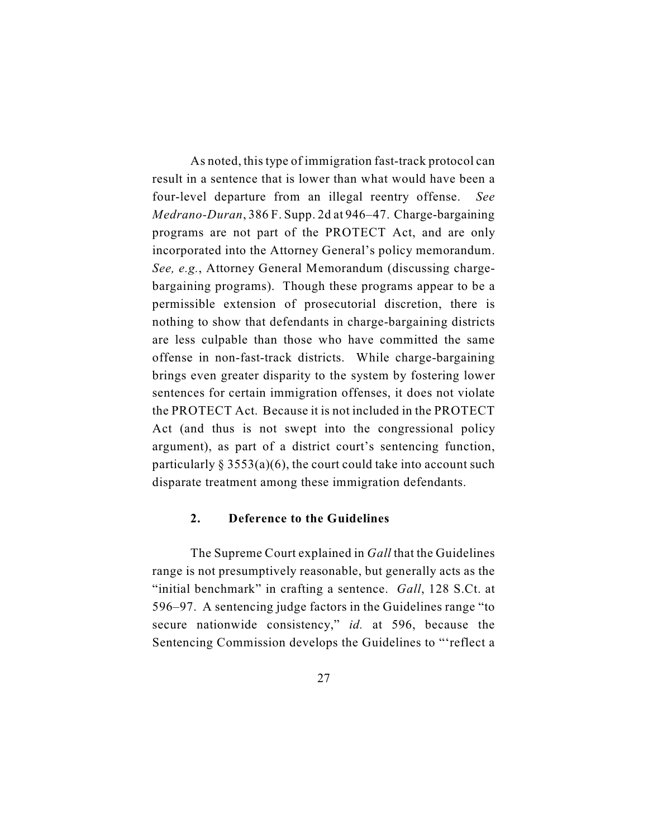As noted, this type of immigration fast-track protocol can result in a sentence that is lower than what would have been a four-level departure from an illegal reentry offense. *See Medrano-Duran*, 386 F. Supp. 2d at 946–47. Charge-bargaining programs are not part of the PROTECT Act, and are only incorporated into the Attorney General's policy memorandum. *See, e.g.*, Attorney General Memorandum (discussing chargebargaining programs). Though these programs appear to be a permissible extension of prosecutorial discretion, there is nothing to show that defendants in charge-bargaining districts are less culpable than those who have committed the same offense in non-fast-track districts. While charge-bargaining brings even greater disparity to the system by fostering lower sentences for certain immigration offenses, it does not violate the PROTECT Act. Because it is not included in the PROTECT Act (and thus is not swept into the congressional policy argument), as part of a district court's sentencing function, particularly  $\S 3553(a)(6)$ , the court could take into account such disparate treatment among these immigration defendants.

# **2. Deference to the Guidelines**

The Supreme Court explained in *Gall* that the Guidelines range is not presumptively reasonable, but generally acts as the "initial benchmark" in crafting a sentence. *Gall*, 128 S.Ct. at 596–97. A sentencing judge factors in the Guidelines range "to secure nationwide consistency," *id.* at 596, because the Sentencing Commission develops the Guidelines to "'reflect a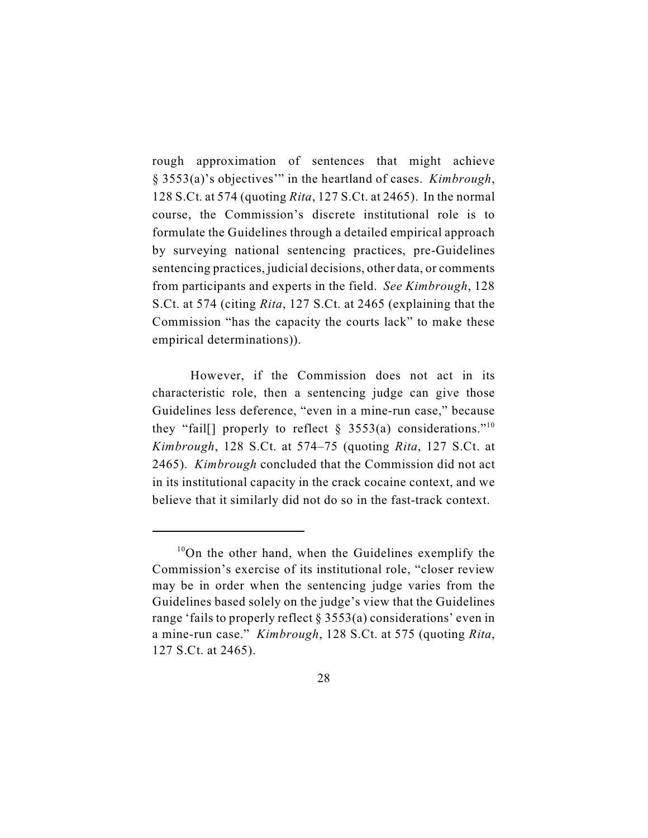rough approximation of sentences that might achieve § 3553(a)'s objectives'" in the heartland of cases. *Kimbrough*, 128 S.Ct. at 574 (quoting *Rita*, 127 S.Ct. at 2465). In the normal course, the Commission's discrete institutional role is to formulate the Guidelines through a detailed empirical approach by surveying national sentencing practices, pre-Guidelines sentencing practices, judicial decisions, other data, or comments from participants and experts in the field. *See Kimbrough*, 128 S.Ct. at 574 (citing *Rita*, 127 S.Ct. at 2465 (explaining that the Commission "has the capacity the courts lack" to make these empirical determinations)).

However, if the Commission does not act in its characteristic role, then a sentencing judge can give those Guidelines less deference, "even in a mine-run case," because they "fail[] properly to reflect  $\S$  3553(a) considerations."<sup>10</sup> *Kimbrough*, 128 S.Ct. at 574–75 (quoting *Rita*, 127 S.Ct. at 2465). *Kimbrough* concluded that the Commission did not act in its institutional capacity in the crack cocaine context, and we believe that it similarly did not do so in the fast-track context.

 $10$ On the other hand, when the Guidelines exemplify the Commission's exercise of its institutional role, "closer review may be in order when the sentencing judge varies from the Guidelines based solely on the judge's view that the Guidelines range 'fails to properly reflect § 3553(a) considerations' even in a mine-run case." *Kimbrough*, 128 S.Ct. at 575 (quoting *Rita*, 127 S.Ct. at 2465).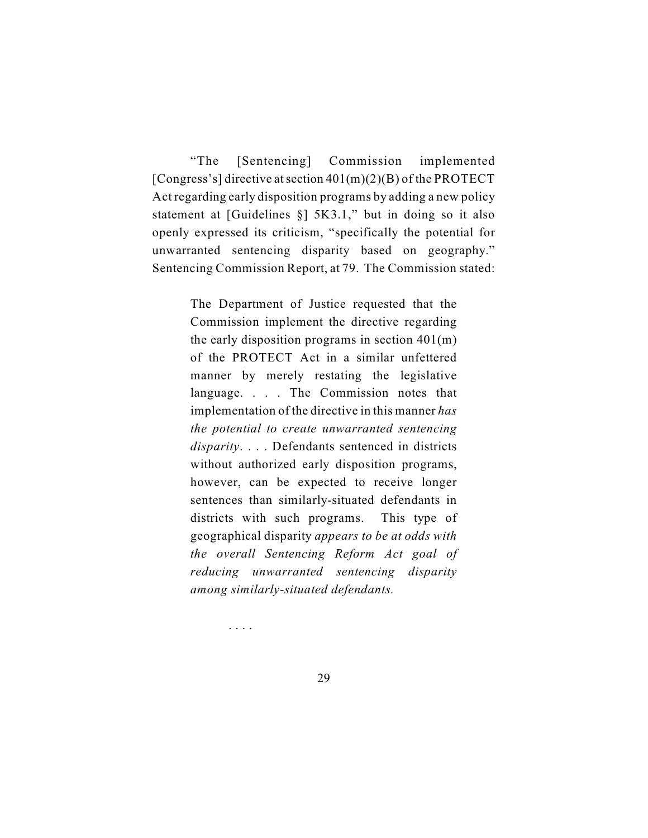"The [Sentencing] Commission implemented [Congress's] directive at section  $401(m)(2)(B)$  of the PROTECT Act regarding early disposition programs by adding a new policy statement at [Guidelines §] 5K3.1," but in doing so it also openly expressed its criticism, "specifically the potential for unwarranted sentencing disparity based on geography." Sentencing Commission Report, at 79. The Commission stated:

> The Department of Justice requested that the Commission implement the directive regarding the early disposition programs in section  $401(m)$ of the PROTECT Act in a similar unfettered manner by merely restating the legislative language. . . . The Commission notes that implementation of the directive in this manner *has the potential to create unwarranted sentencing disparity*. . . . Defendants sentenced in districts without authorized early disposition programs, however, can be expected to receive longer sentences than similarly-situated defendants in districts with such programs. This type of geographical disparity *appears to be at odds with the overall Sentencing Reform Act goal of reducing unwarranted sentencing disparity among similarly-situated defendants.*

> > . . . .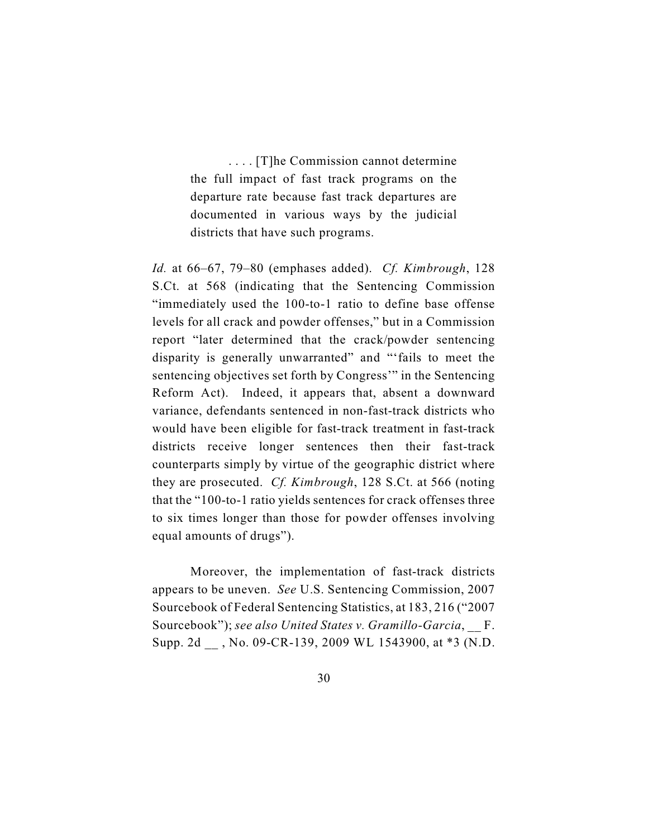. . . . [T]he Commission cannot determine the full impact of fast track programs on the departure rate because fast track departures are documented in various ways by the judicial districts that have such programs.

*Id.* at 66–67, 79–80 (emphases added). *Cf. Kimbrough*, 128 S.Ct. at 568 (indicating that the Sentencing Commission "immediately used the 100-to-1 ratio to define base offense levels for all crack and powder offenses," but in a Commission report "later determined that the crack/powder sentencing disparity is generally unwarranted" and "'fails to meet the sentencing objectives set forth by Congress'" in the Sentencing Reform Act). Indeed, it appears that, absent a downward variance, defendants sentenced in non-fast-track districts who would have been eligible for fast-track treatment in fast-track districts receive longer sentences then their fast-track counterparts simply by virtue of the geographic district where they are prosecuted. *Cf. Kimbrough*, 128 S.Ct. at 566 (noting that the "100-to-1 ratio yields sentences for crack offenses three to six times longer than those for powder offenses involving equal amounts of drugs").

Moreover, the implementation of fast-track districts appears to be uneven. *See* U.S. Sentencing Commission, 2007 Sourcebook of Federal Sentencing Statistics, at 183, 216 ("2007 Sourcebook"); *see also United States v. Gramillo-Garcia*, \_\_ F. Supp. 2d \_\_ , No. 09-CR-139, 2009 WL 1543900, at \*3 (N.D.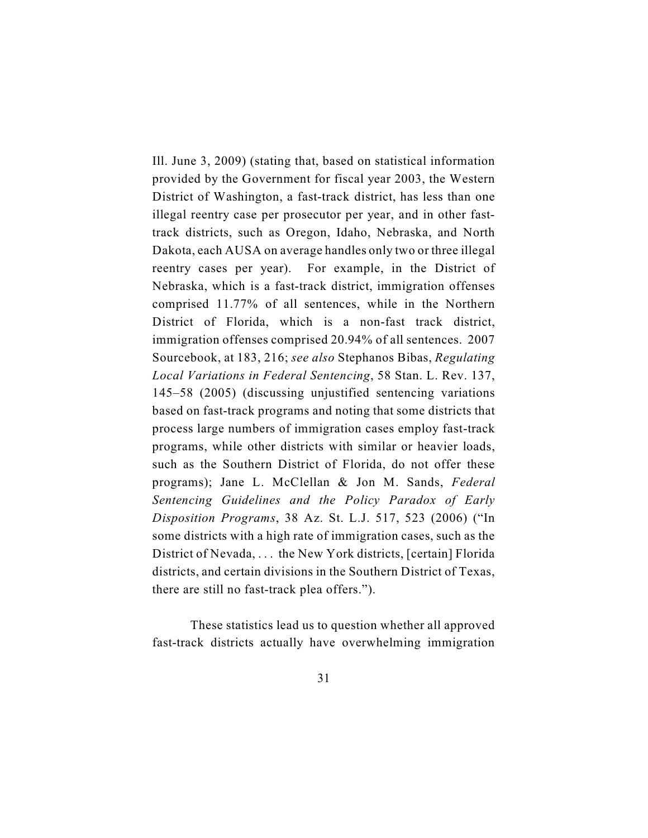Ill. June 3, 2009) (stating that, based on statistical information provided by the Government for fiscal year 2003, the Western District of Washington, a fast-track district, has less than one illegal reentry case per prosecutor per year, and in other fasttrack districts, such as Oregon, Idaho, Nebraska, and North Dakota, each AUSA on average handles only two or three illegal reentry cases per year). For example, in the District of Nebraska, which is a fast-track district, immigration offenses comprised 11.77% of all sentences, while in the Northern District of Florida, which is a non-fast track district, immigration offenses comprised 20.94% of all sentences. 2007 Sourcebook, at 183, 216; *see also* Stephanos Bibas, *Regulating Local Variations in Federal Sentencing*, 58 Stan. L. Rev. 137, 145–58 (2005) (discussing unjustified sentencing variations based on fast-track programs and noting that some districts that process large numbers of immigration cases employ fast-track programs, while other districts with similar or heavier loads, such as the Southern District of Florida, do not offer these programs); Jane L. McClellan & Jon M. Sands, *Federal Sentencing Guidelines and the Policy Paradox of Early Disposition Programs*, 38 Az. St. L.J. 517, 523 (2006) ("In some districts with a high rate of immigration cases, such as the District of Nevada, . . . the New York districts, [certain] Florida districts, and certain divisions in the Southern District of Texas, there are still no fast-track plea offers.").

These statistics lead us to question whether all approved fast-track districts actually have overwhelming immigration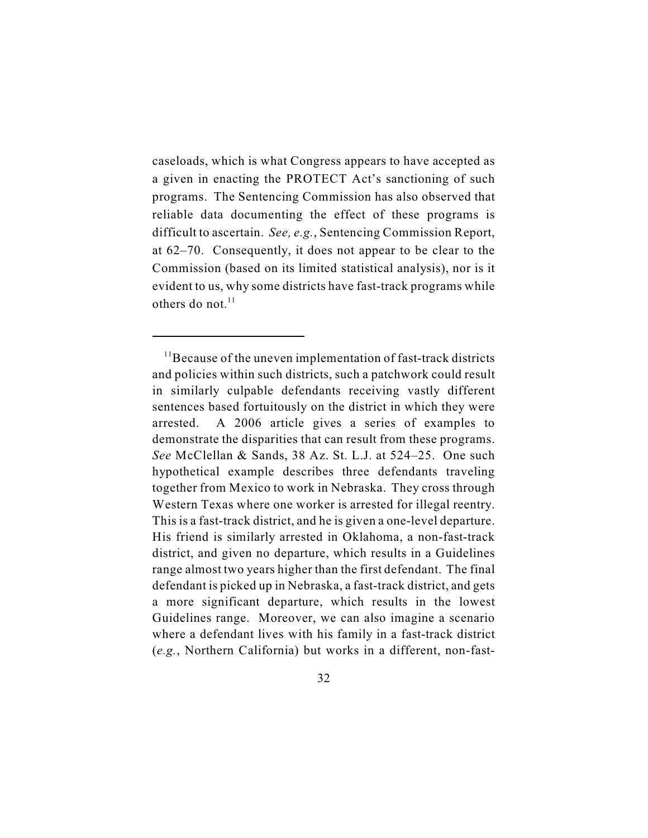caseloads, which is what Congress appears to have accepted as a given in enacting the PROTECT Act's sanctioning of such programs. The Sentencing Commission has also observed that reliable data documenting the effect of these programs is difficult to ascertain. *See, e.g.*, Sentencing Commission Report, at 62–70. Consequently, it does not appear to be clear to the Commission (based on its limited statistical analysis), nor is it evident to us, why some districts have fast-track programs while others do not. $11$ 

 $11$ Because of the uneven implementation of fast-track districts and policies within such districts, such a patchwork could result in similarly culpable defendants receiving vastly different sentences based fortuitously on the district in which they were arrested. A 2006 article gives a series of examples to demonstrate the disparities that can result from these programs. *See* McClellan & Sands, 38 Az. St. L.J. at 524–25. One such hypothetical example describes three defendants traveling together from Mexico to work in Nebraska. They cross through Western Texas where one worker is arrested for illegal reentry. This is a fast-track district, and he is given a one-level departure. His friend is similarly arrested in Oklahoma, a non-fast-track district, and given no departure, which results in a Guidelines range almost two years higher than the first defendant. The final defendant is picked up in Nebraska, a fast-track district, and gets a more significant departure, which results in the lowest Guidelines range. Moreover, we can also imagine a scenario where a defendant lives with his family in a fast-track district (*e.g.*, Northern California) but works in a different, non-fast-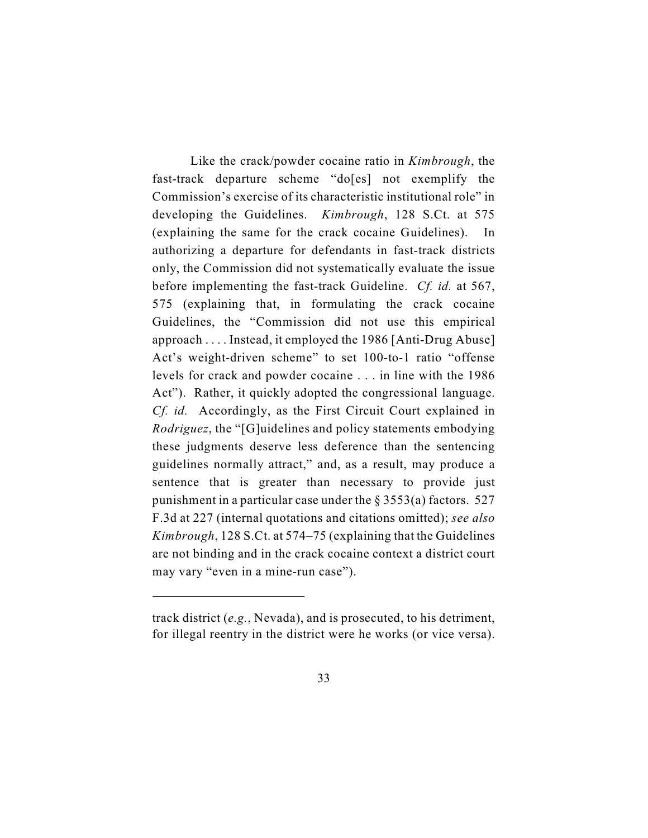Like the crack/powder cocaine ratio in *Kimbrough*, the fast-track departure scheme "do[es] not exemplify the Commission's exercise of its characteristic institutional role" in developing the Guidelines. *Kimbrough*, 128 S.Ct. at 575 (explaining the same for the crack cocaine Guidelines). In authorizing a departure for defendants in fast-track districts only, the Commission did not systematically evaluate the issue before implementing the fast-track Guideline. *Cf. id.* at 567, 575 (explaining that, in formulating the crack cocaine Guidelines, the "Commission did not use this empirical approach . . . . Instead, it employed the 1986 [Anti-Drug Abuse] Act's weight-driven scheme" to set 100-to-1 ratio "offense levels for crack and powder cocaine . . . in line with the 1986 Act"). Rather, it quickly adopted the congressional language. *Cf. id.* Accordingly, as the First Circuit Court explained in *Rodriguez*, the "[G]uidelines and policy statements embodying these judgments deserve less deference than the sentencing guidelines normally attract," and, as a result, may produce a sentence that is greater than necessary to provide just punishment in a particular case under the  $\S 3553(a)$  factors. 527 F.3d at 227 (internal quotations and citations omitted); *see also Kimbrough*, 128 S.Ct. at 574–75 (explaining that the Guidelines are not binding and in the crack cocaine context a district court may vary "even in a mine-run case").

track district (*e.g.*, Nevada), and is prosecuted, to his detriment, for illegal reentry in the district were he works (or vice versa).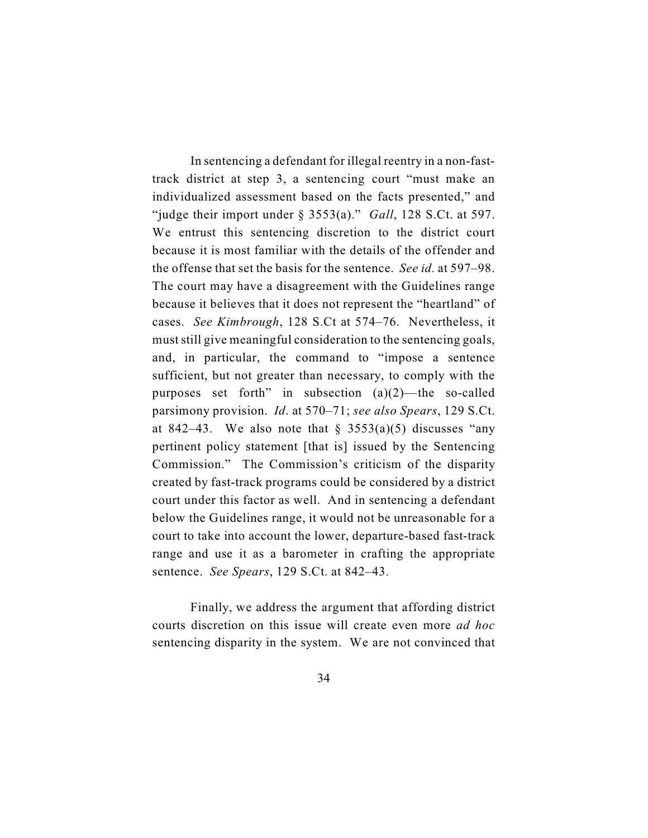In sentencing a defendant for illegal reentry in a non-fasttrack district at step 3, a sentencing court "must make an individualized assessment based on the facts presented," and "judge their import under § 3553(a)." *Gall*, 128 S.Ct. at 597. We entrust this sentencing discretion to the district court because it is most familiar with the details of the offender and the offense that set the basis for the sentence. *See id.* at 597–98. The court may have a disagreement with the Guidelines range because it believes that it does not represent the "heartland" of cases. *See Kimbrough*, 128 S.Ct at 574–76. Nevertheless, it must still give meaningful consideration to the sentencing goals, and, in particular, the command to "impose a sentence sufficient, but not greater than necessary, to comply with the purposes set forth" in subsection (a)(2)—the so-called parsimony provision. *Id*. at 570–71; *see also Spears*, 129 S.Ct. at 842–43. We also note that  $\S$  3553(a)(5) discusses "any pertinent policy statement [that is] issued by the Sentencing Commission." The Commission's criticism of the disparity created by fast-track programs could be considered by a district court under this factor as well. And in sentencing a defendant below the Guidelines range, it would not be unreasonable for a court to take into account the lower, departure-based fast-track range and use it as a barometer in crafting the appropriate sentence. *See Spears*, 129 S.Ct. at 842–43.

Finally, we address the argument that affording district courts discretion on this issue will create even more *ad hoc* sentencing disparity in the system. We are not convinced that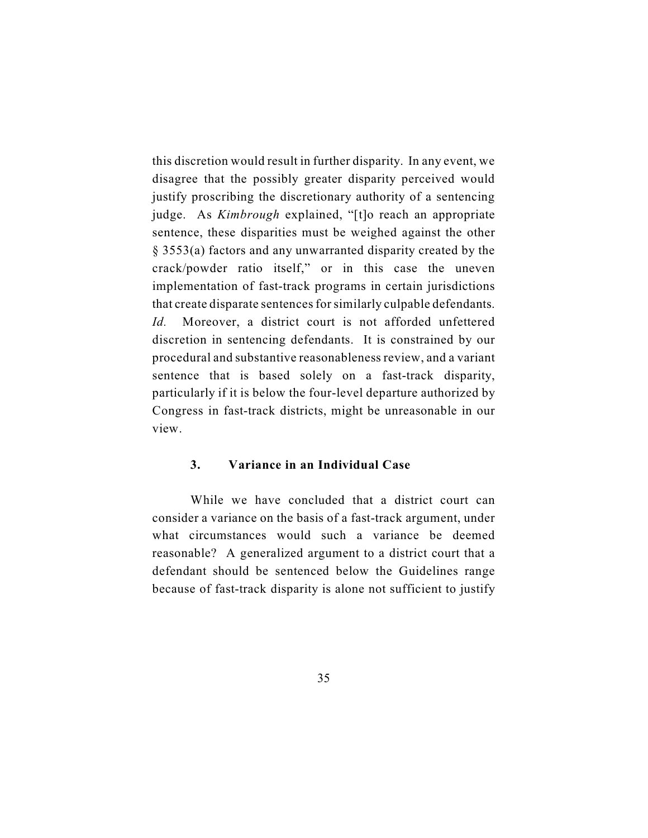this discretion would result in further disparity. In any event, we disagree that the possibly greater disparity perceived would justify proscribing the discretionary authority of a sentencing judge. As *Kimbrough* explained, "[t]o reach an appropriate sentence, these disparities must be weighed against the other § 3553(a) factors and any unwarranted disparity created by the crack/powder ratio itself," or in this case the uneven implementation of fast-track programs in certain jurisdictions that create disparate sentences for similarly culpable defendants. *Id.* Moreover, a district court is not afforded unfettered discretion in sentencing defendants. It is constrained by our procedural and substantive reasonableness review, and a variant sentence that is based solely on a fast-track disparity, particularly if it is below the four-level departure authorized by Congress in fast-track districts, might be unreasonable in our view.

# **3. Variance in an Individual Case**

While we have concluded that a district court can consider a variance on the basis of a fast-track argument, under what circumstances would such a variance be deemed reasonable? A generalized argument to a district court that a defendant should be sentenced below the Guidelines range because of fast-track disparity is alone not sufficient to justify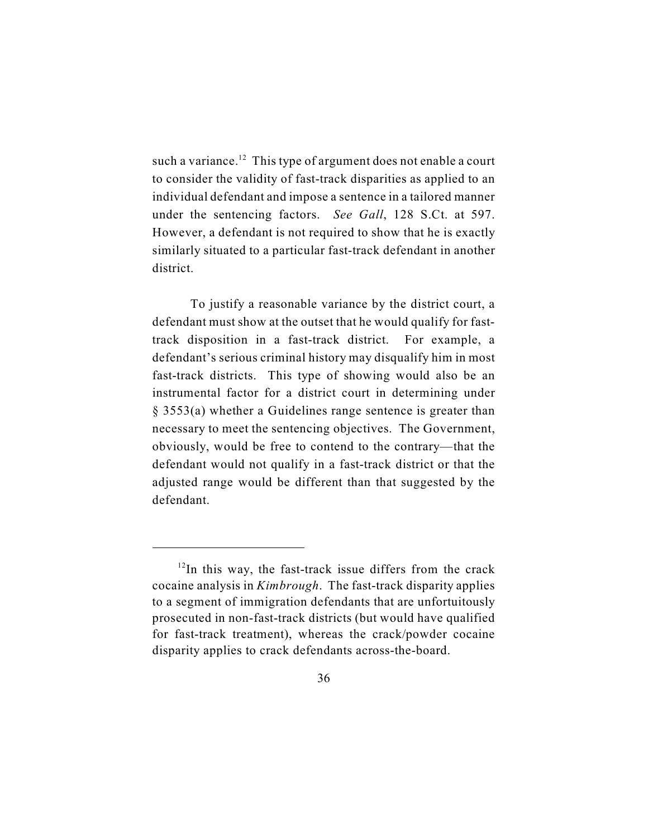such a variance.<sup>12</sup> This type of argument does not enable a court to consider the validity of fast-track disparities as applied to an individual defendant and impose a sentence in a tailored manner under the sentencing factors. *See Gall*, 128 S.Ct. at 597. However, a defendant is not required to show that he is exactly similarly situated to a particular fast-track defendant in another district.

To justify a reasonable variance by the district court, a defendant must show at the outset that he would qualify for fasttrack disposition in a fast-track district. For example, a defendant's serious criminal history may disqualify him in most fast-track districts. This type of showing would also be an instrumental factor for a district court in determining under § 3553(a) whether a Guidelines range sentence is greater than necessary to meet the sentencing objectives. The Government, obviously, would be free to contend to the contrary—that the defendant would not qualify in a fast-track district or that the adjusted range would be different than that suggested by the defendant.

 $12$ In this way, the fast-track issue differs from the crack cocaine analysis in *Kimbrough*. The fast-track disparity applies to a segment of immigration defendants that are unfortuitously prosecuted in non-fast-track districts (but would have qualified for fast-track treatment), whereas the crack/powder cocaine disparity applies to crack defendants across-the-board.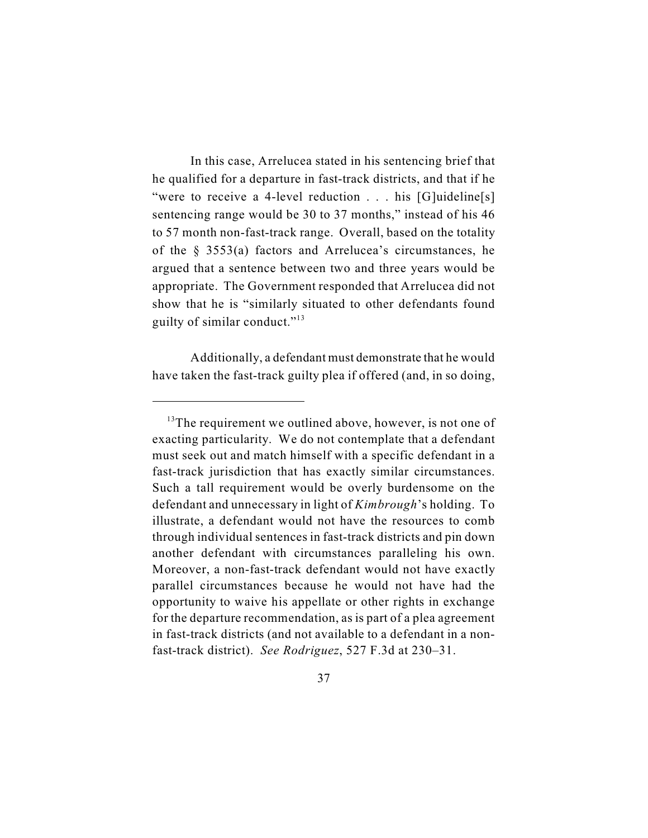In this case, Arrelucea stated in his sentencing brief that he qualified for a departure in fast-track districts, and that if he "were to receive a 4-level reduction . . . his [G]uideline[s] sentencing range would be 30 to 37 months," instead of his 46 to 57 month non-fast-track range. Overall, based on the totality of the § 3553(a) factors and Arrelucea's circumstances, he argued that a sentence between two and three years would be appropriate. The Government responded that Arrelucea did not show that he is "similarly situated to other defendants found guilty of similar conduct."<sup>13</sup>

Additionally, a defendant must demonstrate that he would have taken the fast-track guilty plea if offered (and, in so doing,

 $13$ <sup>13</sup>The requirement we outlined above, however, is not one of exacting particularity. We do not contemplate that a defendant must seek out and match himself with a specific defendant in a fast-track jurisdiction that has exactly similar circumstances. Such a tall requirement would be overly burdensome on the defendant and unnecessary in light of *Kimbrough*'s holding. To illustrate, a defendant would not have the resources to comb through individual sentences in fast-track districts and pin down another defendant with circumstances paralleling his own. Moreover, a non-fast-track defendant would not have exactly parallel circumstances because he would not have had the opportunity to waive his appellate or other rights in exchange for the departure recommendation, as is part of a plea agreement in fast-track districts (and not available to a defendant in a nonfast-track district). *See Rodriguez*, 527 F.3d at 230–31.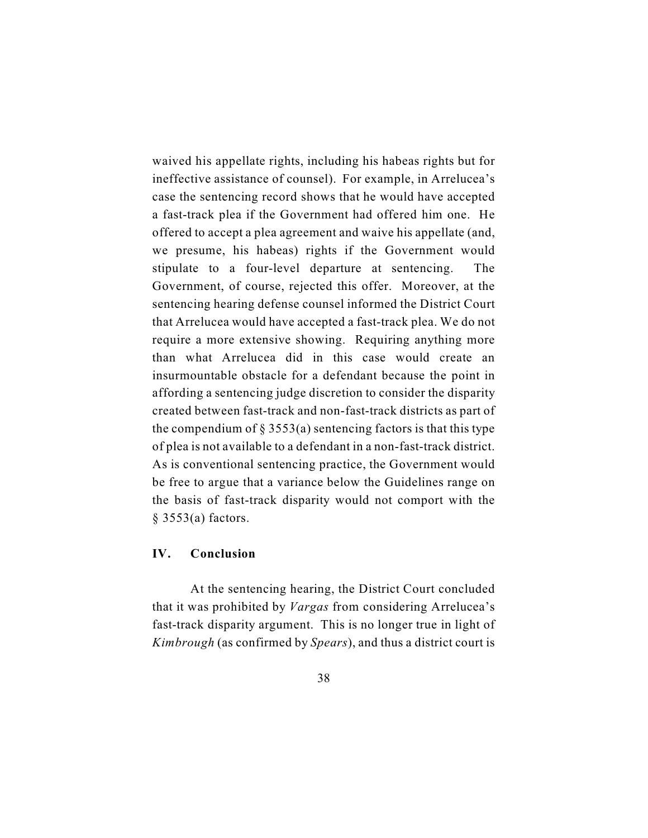waived his appellate rights, including his habeas rights but for ineffective assistance of counsel). For example, in Arrelucea's case the sentencing record shows that he would have accepted a fast-track plea if the Government had offered him one. He offered to accept a plea agreement and waive his appellate (and, we presume, his habeas) rights if the Government would stipulate to a four-level departure at sentencing. The Government, of course, rejected this offer. Moreover, at the sentencing hearing defense counsel informed the District Court that Arrelucea would have accepted a fast-track plea. We do not require a more extensive showing. Requiring anything more than what Arrelucea did in this case would create an insurmountable obstacle for a defendant because the point in affording a sentencing judge discretion to consider the disparity created between fast-track and non-fast-track districts as part of the compendium of  $\S 3553(a)$  sentencing factors is that this type of plea is not available to a defendant in a non-fast-track district. As is conventional sentencing practice, the Government would be free to argue that a variance below the Guidelines range on the basis of fast-track disparity would not comport with the § 3553(a) factors.

# **IV. Conclusion**

At the sentencing hearing, the District Court concluded that it was prohibited by *Vargas* from considering Arrelucea's fast-track disparity argument. This is no longer true in light of *Kimbrough* (as confirmed by *Spears*), and thus a district court is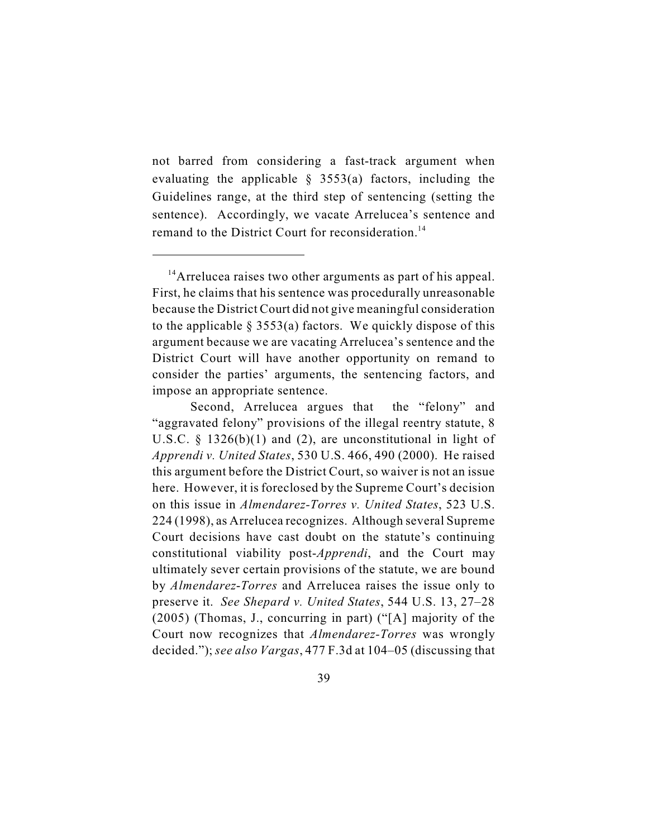not barred from considering a fast-track argument when evaluating the applicable  $\S$  3553(a) factors, including the Guidelines range, at the third step of sentencing (setting the sentence). Accordingly, we vacate Arrelucea's sentence and remand to the District Court for reconsideration.<sup>14</sup>

 $14$ Arrelucea raises two other arguments as part of his appeal. First, he claims that his sentence was procedurally unreasonable because the District Court did not give meaningful consideration to the applicable  $\S 3553(a)$  factors. We quickly dispose of this argument because we are vacating Arrelucea's sentence and the District Court will have another opportunity on remand to consider the parties' arguments, the sentencing factors, and impose an appropriate sentence.

Second, Arrelucea argues that the "felony" and "aggravated felony" provisions of the illegal reentry statute, 8 U.S.C. § 1326(b)(1) and (2), are unconstitutional in light of *Apprendi v. United States*, 530 U.S. 466, 490 (2000). He raised this argument before the District Court, so waiver is not an issue here. However, it is foreclosed by the Supreme Court's decision on this issue in *Almendarez-Torres v. United States*, 523 U.S. 224 (1998), as Arrelucea recognizes. Although several Supreme Court decisions have cast doubt on the statute's continuing constitutional viability post-*Apprendi*, and the Court may ultimately sever certain provisions of the statute, we are bound by *Almendarez*-*Torres* and Arrelucea raises the issue only to preserve it. *See Shepard v. United States*, 544 U.S. 13, 27–28 (2005) (Thomas, J., concurring in part) ("[A] majority of the Court now recognizes that *Almendarez-Torres* was wrongly decided."); *see also Vargas*, 477 F.3d at 104–05 (discussing that